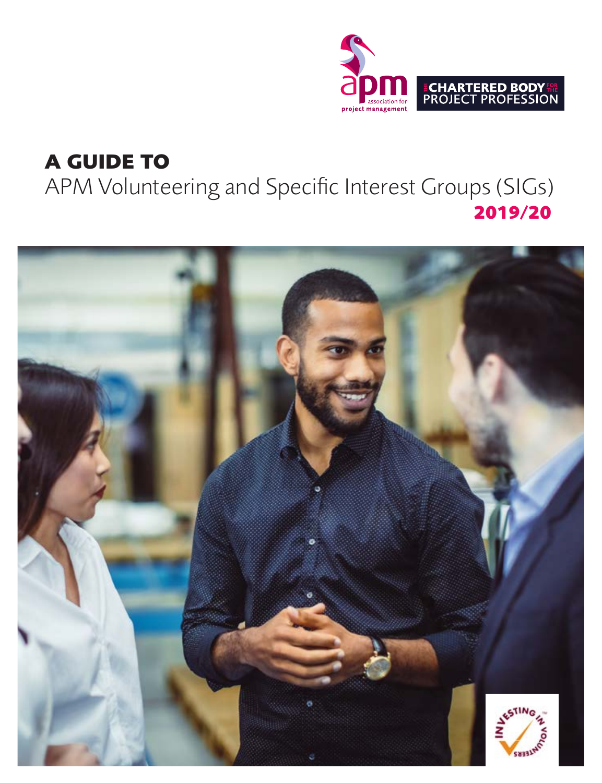

# **A GUIDE TO**

APM Volunteering and Specific Interest Groups (SIGs) **2019/20**

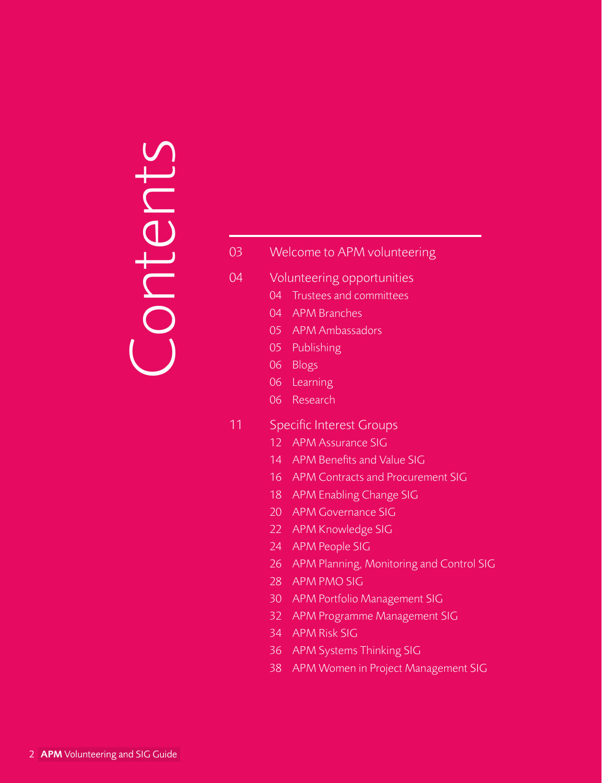# Contents Contents

# [Welcome to APM volunteering](#page-2-0)

- [Volunteering opportunities](#page-3-0)
	- Trustees and committees
	- APM Branches
	- [APM Ambassadors](#page-4-0)
	- Publishing
	- Blogs
	- Learning
	- [Research](#page-5-0)
- [Specific Interest Groups](#page-10-0)
	- [APM Assurance SIG](#page-11-0)
	- [APM Benefits and Value SIG](#page-13-0)
	- [APM Contracts and Procurement SIG](#page-15-0)
	- [APM Enabling Change SIG](#page-17-0)
	- [APM Governance SIG](#page-19-0)
	- 22 APM Knowledge SIG
	- [APM People SIG](#page-23-0)
	- [APM Planning, Monitoring and Control SIG](#page-25-0)
	- [APM PMO SIG](#page-27-0)
	- [APM Portfolio Management SIG](#page-29-0)
	- [APM Programme Management SIG](#page-31-0)
	- [APM Risk SIG](#page-33-0)
	- [APM Systems Thinking SIG](#page-35-0)
	- [APM Women in Project Management SIG](#page-37-0)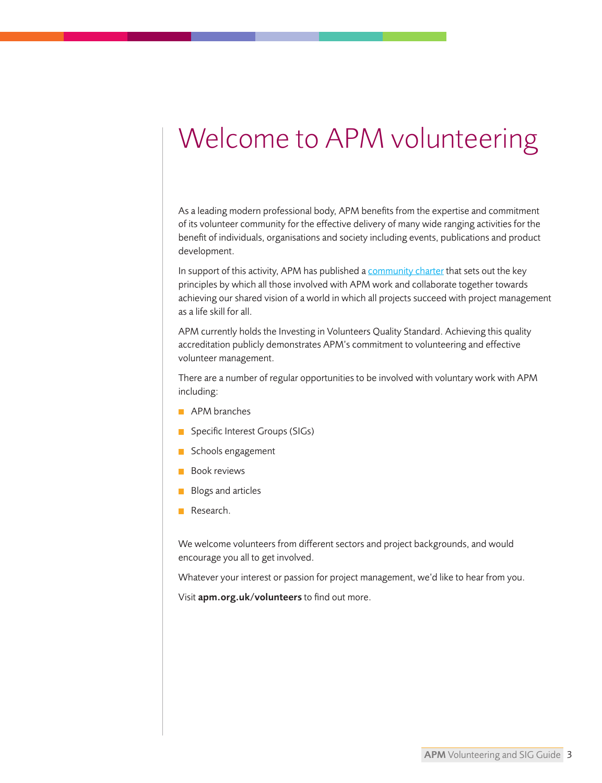# <span id="page-2-0"></span>Welcome to APM volunteering

As a leading modern professional body, APM benefits from the expertise and commitment of its volunteer community for the effective delivery of many wide ranging activities for the benefit of individuals, organisations and society including events, publications and product development.

In support of this activity, APM has published [a community charter th](https://www.apm.org.uk/media/24126/community-charter_v4_june-2018.pdf)at sets out the key principles by which all those involved with APM work and collaborate together towards achieving our shared vision of a world in which all projects succeed with project management as a life skill for all.

APM currently holds the Investing in Volunteers Quality Standard. Achieving this quality accreditation publicly demonstrates APM's commitment to volunteering and effective volunteer management.

There are a number of regular opportunities to be involved with voluntary work with APM including:

- **APM** branches
- **Specific Interest Groups (SIGs)**
- Schools engagement
- **Book reviews**
- **Blogs and articles**
- Research.

We welcome volunteers from different sectors and project backgrounds, and would encourage you all to get involved.

Whatever your interest or passion for project management, we'd like to hear from you.

Visit [apm.org.uk/volunteers](https://www.apm.org.uk/about-us/volunteers/) to find out more.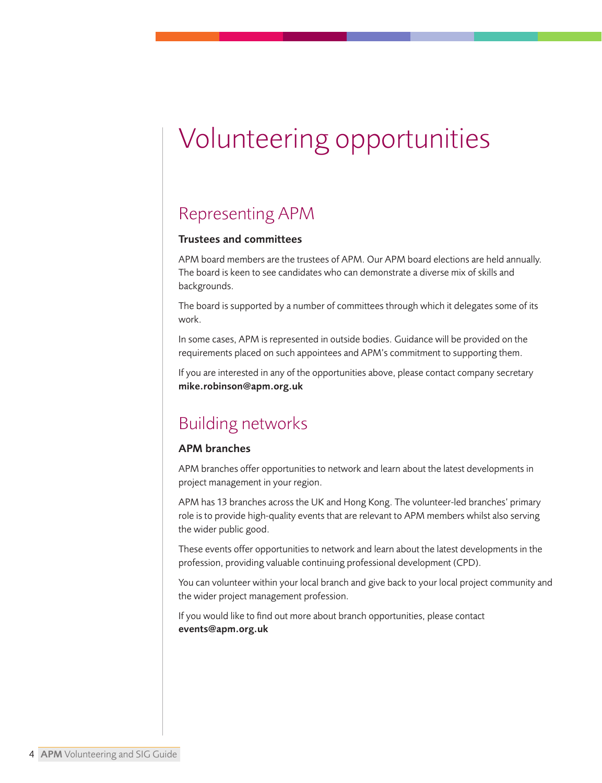# <span id="page-3-0"></span>Volunteering opportunities

# Representing APM

#### Trustees and committees

APM board members are the trustees of APM. Our APM board elections are held annually. The board is keen to see candidates who can demonstrate a diverse mix of skills and backgrounds.

The board is supported by a number of committees through which it delegates some of its work.

In some cases, APM is represented in outside bodies. Guidance will be provided on the requirements placed on such appointees and APM's commitment to supporting them.

If you are interested in any of the opportunities above, please contact company secretary [mike.robinson@apm.org.uk](mailto: mike.robinson@apm.org.uk) 

# Building networks

#### APM branches

APM branches offer opportunities to network and learn about the latest developments in project management in your region.

APM has 13 branches across the UK and Hong Kong. The volunteer-led branches' primary role is to provide high-quality events that are relevant to APM members whilst also serving the wider public good.

These events offer opportunities to network and learn about the latest developments in the profession, providing valuable continuing professional development (CPD).

You can volunteer within your local branch and give back to your local project community and the wider project management profession.

If you would like to find out more about branch opportunities, please contact [events@apm.org.uk](mailto: events@apm.org.uk)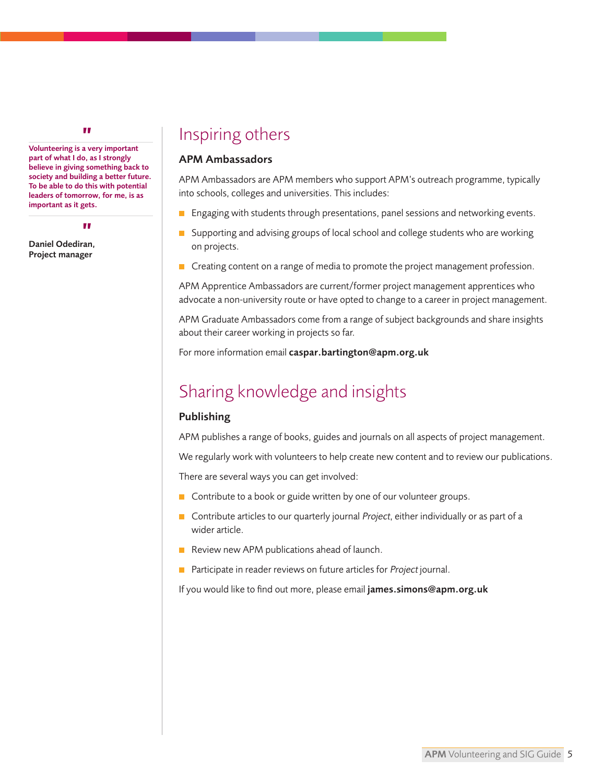<span id="page-4-0"></span>Volunteering is a very important "part of what I do, as I strongly believe in giving something back to society and building a better future. To be able to do this with potential leaders of tomorrow, for me, is as important as it gets.

Daniel Odediran, " Project manager

# Inspiring others

#### APM Ambassadors

APM Ambassadors are APM members who support APM's outreach programme, typically into schools, colleges and universities. This includes:

- **E** Engaging with students through presentations, panel sessions and networking events.
- $\Box$  Supporting and advising groups of local school and college students who are working on projects.
- Creating content on a range of media to promote the project management profession.

APM Apprentice Ambassadors are current/former project management apprentices who advocate a non-university route or have opted to change to a career in project management.

APM Graduate Ambassadors come from a range of subject backgrounds and share insights about their career working in projects so far.

For more information email [caspar.bartington@apm.org.uk](mailto: caspar.bartington@apm.org.uk)

# Sharing knowledge and insights

#### Publishing

APM publishes a range of books, guides and journals on all aspects of project management.

We regularly work with volunteers to help create new content and to review our publications.

There are several ways you can get involved:

- Contribute to a book or guide written by one of our volunteer groups.
- Contribute articles to our quarterly journal Project, either individually or as part of a wider article.
- Review new APM publications ahead of launch.
- **Participate in reader reviews on future articles for Project journal.**

If you would like to find out more, please email [james.simons@apm.org.uk](mailto: james.simons@apm.org.uk)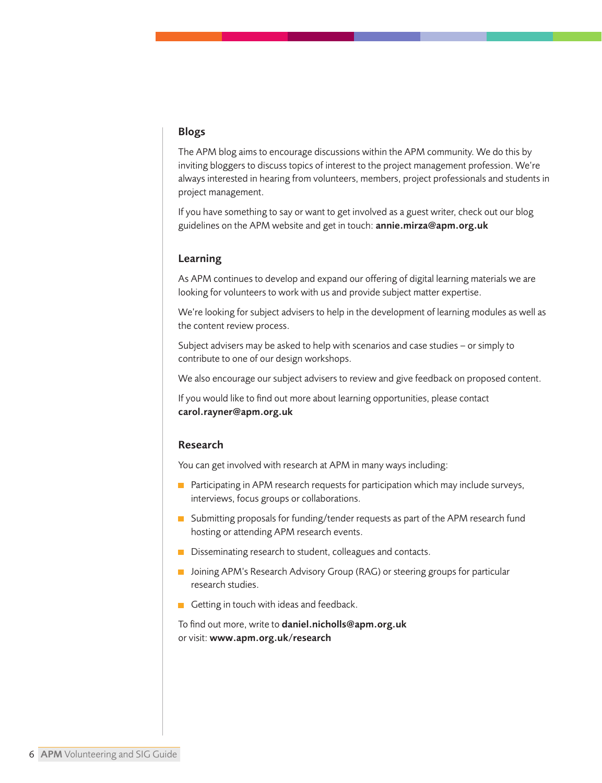#### <span id="page-5-0"></span>Blogs

The APM blog aims to encourage discussions within the APM community. We do this by inviting bloggers to discuss topics of interest to the project management profession. We're always interested in hearing from volunteers, members, project professionals and students in project management.

If you have something to say or want to get involved as a guest writer, check out our blog guidelines on the APM website and get in touch: [annie.mirza@apm.org.uk](mailto: annie.mirza@apm.org.uk)

#### Learning

As APM continues to develop and expand our offering of digital learning materials we are looking for volunteers to work with us and provide subject matter expertise.

We're looking for subject advisers to help in the development of learning modules as well as the content review process.

Subject advisers may be asked to help with scenarios and case studies – or simply to contribute to one of our design workshops.

We also encourage our subject advisers to review and give feedback on proposed content.

If you would like to find out more about learning opportunities, please contact [carol.rayner@apm.org.uk](mailto: carol.rayner@apm.org.uk)

#### Research

You can get involved with research at APM in many ways including:

- **Participating in APM research requests for participation which may include surveys,** interviews, focus groups or collaborations.
- Submitting proposals for funding/tender requests as part of the APM research fund hosting or attending APM research events.
- Disseminating research to student, colleagues and contacts.
- **Joining APM's Research Advisory Group (RAG) or steering groups for particular** research studies.
- Getting in touch with ideas and feedback.

To find out more, write to [daniel.nicholls@apm.org.uk](mailto: daniel.nicholls@apm.org.uk) or visit: [www.apm.org.uk/research](https://www.apm.org.uk/about-us/research/)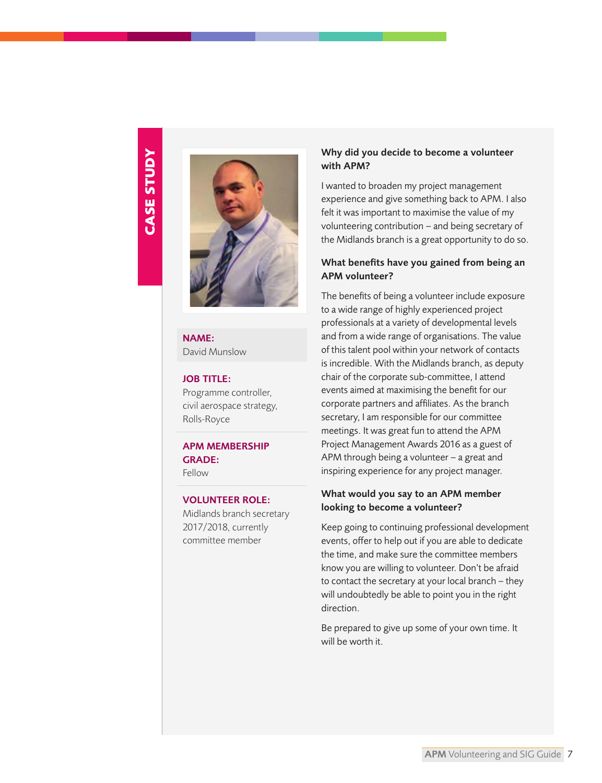# **CASE STUDY CASE STUDY**



NAME: David Munslow

#### JOB TITLE:

Programme controller, civil aerospace strategy, Rolls-Royce

APM MEMBERSHIP GRADE: Fellow

#### VOLUNTEER ROLE:

Midlands branch secretary 2017/2018, currently committee member

#### Why did you decide to become a volunteer with APM?

I wanted to broaden my project management experience and give something back to APM. I also felt it was important to maximise the value of my volunteering contribution – and being secretary of the Midlands branch is a great opportunity to do so.

#### What benefits have you gained from being an APM volunteer?

The benefits of being a volunteer include exposure to a wide range of highly experienced project professionals at a variety of developmental levels and from a wide range of organisations. The value of this talent pool within your network of contacts is incredible. With the Midlands branch, as deputy chair of the corporate sub-committee, I attend events aimed at maximising the benefit for our corporate partners and affiliates. As the branch secretary, I am responsible for our committee meetings. It was great fun to attend the APM Project Management Awards 2016 as a guest of APM through being a volunteer – a great and inspiring experience for any project manager.

#### What would you say to an APM member looking to become a volunteer?

Keep going to continuing professional development events, offer to help out if you are able to dedicate the time, and make sure the committee members know you are willing to volunteer. Don't be afraid to contact the secretary at your local branch – they will undoubtedly be able to point you in the right direction.

Be prepared to give up some of your own time. It will be worth it.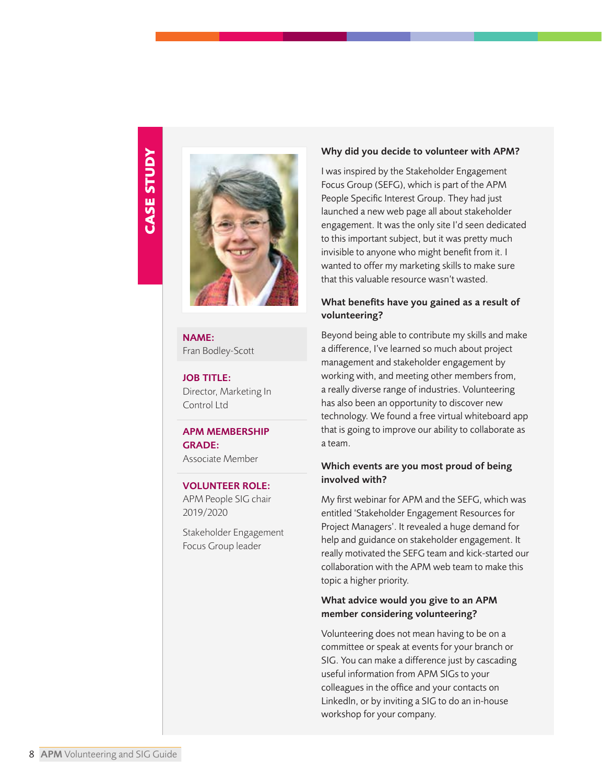

NAME: Fran Bodley-Scott

JOB TITLE: Director, Marketing In Control Ltd

# APM MEMBERSHIP GRADE:

Associate Member

#### VOLUNTEER ROLE:

APM People SIG chair 2019/2020

Stakeholder Engagement Focus Group leader

#### Why did you decide to volunteer with APM?

I was inspired by the Stakeholder Engagement Focus Group (SEFG), which is part of the APM People Specific Interest Group. They had just launched a new web page all about stakeholder engagement. It was the only site I'd seen dedicated to this important subject, but it was pretty much invisible to anyone who might benefit from it. I wanted to offer my marketing skills to make sure that this valuable resource wasn't wasted.

#### What benefits have you gained as a result of volunteering?

Beyond being able to contribute my skills and make a difference, I've learned so much about project management and stakeholder engagement by working with, and meeting other members from, a really diverse range of industries. Volunteering has also been an opportunity to discover new technology. We found a free virtual whiteboard app that is going to improve our ability to collaborate as a team.

#### Which events are you most proud of being involved with?

My first webinar for APM and the SEFG, which was entitled 'Stakeholder Engagement Resources for Project Managers'. It revealed a huge demand for help and guidance on stakeholder engagement. It really motivated the SEFG team and kick-started our collaboration with the APM web team to make this topic a higher priority.

#### What advice would you give to an APM member considering volunteering?

Volunteering does not mean having to be on a committee or speak at events for your branch or SIG. You can make a difference just by cascading useful information from APM SIGs to your colleagues in the office and your contacts on Linkedln, or by inviting a SIG to do an in-house workshop for your company.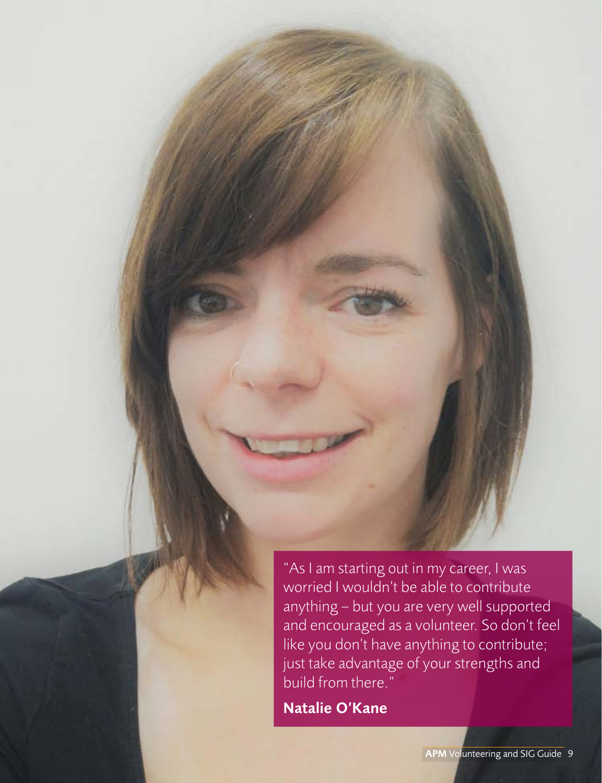"As I am starting out in my career, I was worried I wouldn't be able to contribute anything – but you are very well supported and encouraged as a volunteer. So don't feel like you don't have anything to contribute; just take advantage of your strengths and build from there."

Natalie O'Kane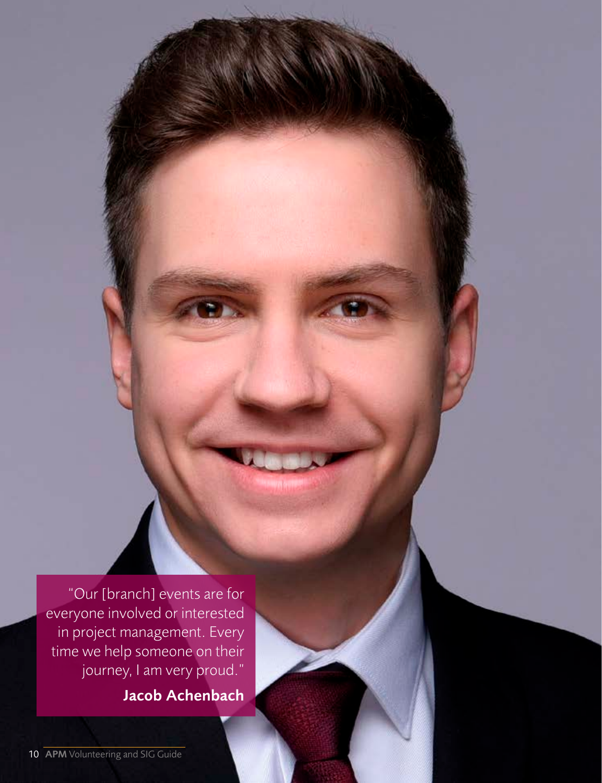"Our [branch] events are for everyone involved or interested in project management. Every time we help someone on their journey, I am very proud." Jacob Achenbach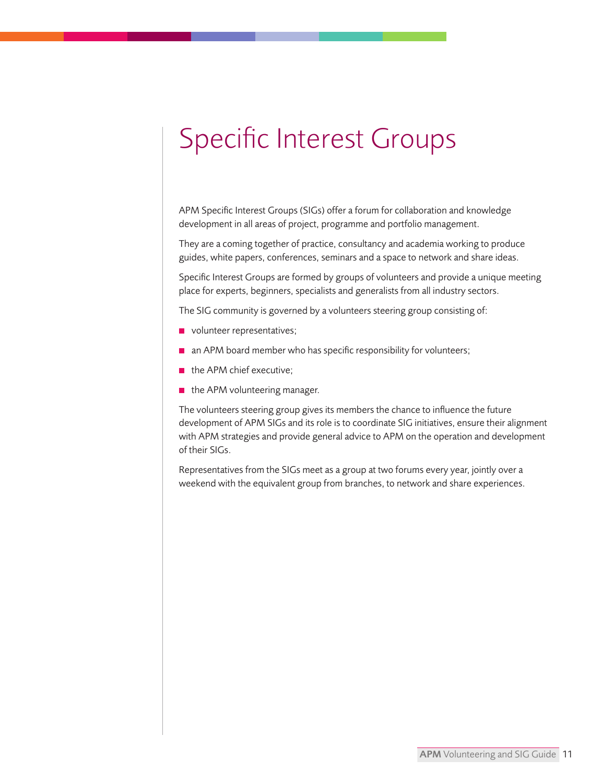# <span id="page-10-0"></span>Specific Interest Groups

APM Specific Interest Groups (SIGs) offer a forum for collaboration and knowledge development in all areas of project, programme and portfolio management.

They are a coming together of practice, consultancy and academia working to produce guides, white papers, conferences, seminars and a space to network and share ideas.

Specific Interest Groups are formed by groups of volunteers and provide a unique meeting place for experts, beginners, specialists and generalists from all industry sectors.

The SIG community is governed by a volunteers steering group consisting of:

- volunteer representatives;
- $\blacksquare$  an APM board member who has specific responsibility for volunteers;
- $\blacksquare$  the APM chief executive:
- $\blacksquare$  the APM volunteering manager.

The volunteers steering group gives its members the chance to influence the future development of APM SIGs and its role is to coordinate SIG initiatives, ensure their alignment with APM strategies and provide general advice to APM on the operation and development of their SIGs.

Representatives from the SIGs meet as a group at two forums every year, jointly over a weekend with the equivalent group from branches, to network and share experiences.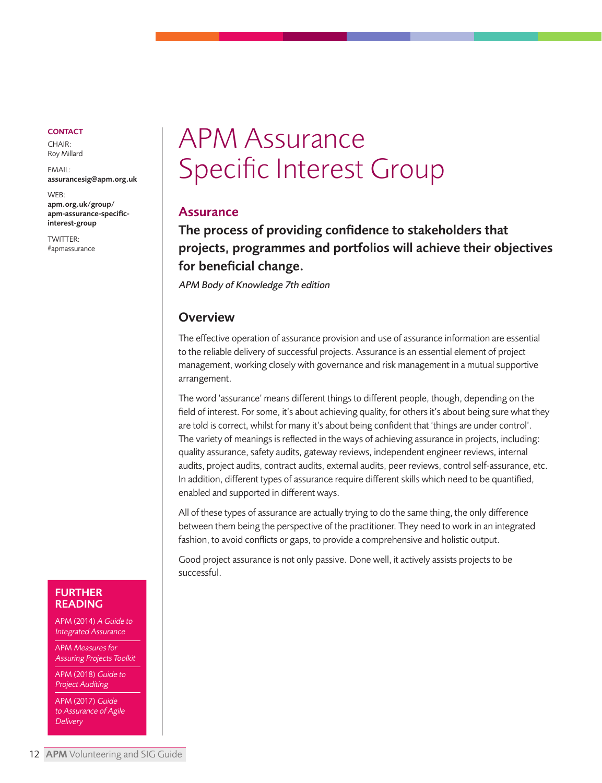<span id="page-11-0"></span>CHAIR: Roy Millard

EMAIL: [assurancesig@apm.org.uk](mailto: assurancesig@apm.org.uk)

WEB: apm.org.uk/group/ [apm-assurance-specific](https://www.apm.org.uk/community/assurance-sig/)interest-group

TWITTER: [#apmassurance](https://twitter.com/hashtag/apmassurance?src=hash)

# APM Assurance Specific Interest Group

## Assurance

The process of providing confidence to stakeholders that projects, programmes and portfolios will achieve their objectives for beneficial change.

APM Body of Knowledge 7th edition

# **Overview**

The effective operation of assurance provision and use of assurance information are essential to the reliable delivery of successful projects. Assurance is an essential element of project management, working closely with governance and risk management in a mutual supportive arrangement.

The word 'assurance' means different things to different people, though, depending on the field of interest. For some, it's about achieving quality, for others it's about being sure what they are told is correct, whilst for many it's about being confident that 'things are under control'. The variety of meanings is reflected in the ways of achieving assurance in projects, including: quality assurance, safety audits, gateway reviews, independent engineer reviews, internal audits, project audits, contract audits, external audits, peer reviews, control self-assurance, etc. In addition, different types of assurance require different skills which need to be quantified, enabled and supported in different ways.

All of these types of assurance are actually trying to do the same thing, the only difference between them being the perspective of the practitioner. They need to work in an integrated fashion, to avoid conflicts or gaps, to provide a comprehensive and holistic output.

Good project assurance is not only passive. Done well, it actively assists projects to be successful.

#### FURTHER READING

APM (2014) A Guide to Integrated Assurance

APM Measures for Assuring Projects Toolkit

APM (2018) Guide to Project Auditing

APM (2017) Guide to Assurance of Agile **Delivery**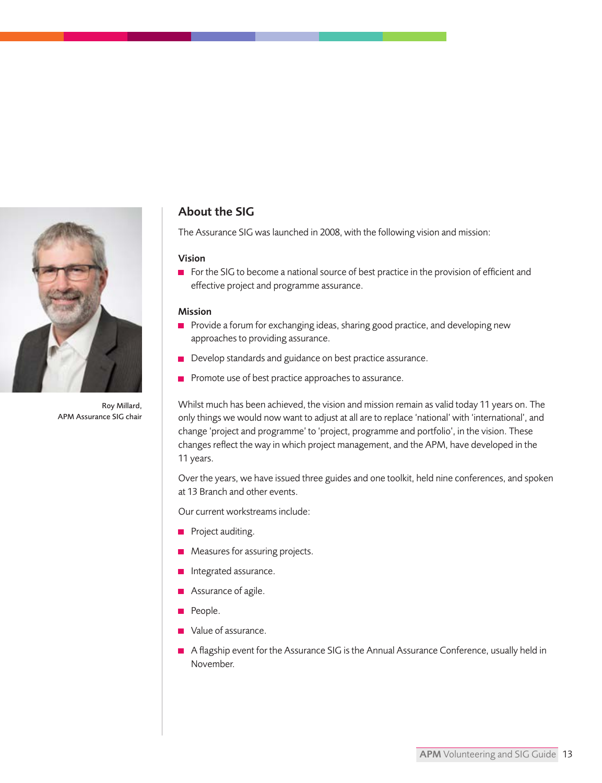

Roy Millard, APM Assurance SIG chair

## About the SIG

The Assurance SIG was launched in 2008, with the following vision and mission:

#### Vision

For the SIG to become a national source of best practice in the provision of efficient and effective project and programme assurance.

#### Mission

- Provide a forum for exchanging ideas, sharing good practice, and developing new approaches to providing assurance.
- Develop standards and guidance on best practice assurance.
- $\blacksquare$  Promote use of best practice approaches to assurance.

Whilst much has been achieved, the vision and mission remain as valid today 11 years on. The only things we would now want to adjust at all are to replace 'national' with 'international', and change 'project and programme' to 'project, programme and portfolio', in the vision. These changes reflect the way in which project management, and the APM, have developed in the 11 years.

Over the years, we have issued three guides and one toolkit, held nine conferences, and spoken at 13 Branch and other events.

Our current workstreams include:

- Project auditing.
- **Measures for assuring projects.**
- **n** Integrated assurance.
- **Assurance of agile.**
- People.
- Value of assurance.
- A flagship event for the Assurance SIG is the Annual Assurance Conference, usually held in November.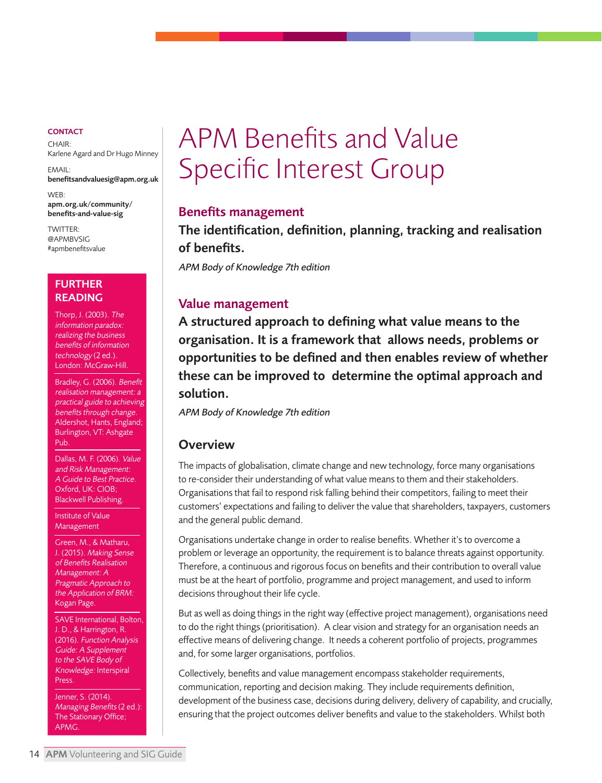<span id="page-13-0"></span> $CHAIR$ Karlene Agard and Dr Hugo Minney

EMAIL: [benefitsandvaluesig@apm.org.uk](mailto: benefitsandvaluesig@apm.org.uk)

WEB: [apm.org.uk/community/](https://www.apm.org.uk/community/benefits-and-value-sig/)  benefits-and-value-sig

TWITTER: [@APMBVSIG](https://twitter.com/@APMBVSIG) [#apmbenefitsvalue](https://twitter.com/hashtag/apmbenefitsvalue)

#### FURTHER READING

Thorp, J. (2003). The information paradox: realizing the business benefits of information technology (2 ed.). London: McGraw-Hill.

Bradley, G. (2006). Benefit realisation management: a practical guide to achieving benefits through change. Aldershot, Hants, England; Burlington, VT: Ashgate Pub.

Dallas, M. F. (2006). Value and Risk Management: A Guide to Best Practice. Oxford, UK: CIOB; Blackwell Publishing.

Institute of Value Management

Green, M., & Matharu, J. (2015). Making Sense of Benefits Realisation Management: A Pragmatic Approach to the Application of BRM: Kogan Page.

SAVE International, Bolton, J. D., & Harrington, R. (2016). Function Analysis Guide: A Supplement to the SAVE Body of Knowledge: Interspiral Press.

Jenner, S. (2014). Managing Benefits (2 ed.): The Stationary Office; APMG.

# APM Benefits and Value Specific Interest Group

#### Benefits management

The identification, definition, planning, tracking and realisation of benefits.

APM Body of Knowledge 7th edition

## Value management

A structured approach to defining what value means to the organisation. It is a framework that allows needs, problems or opportunities to be defined and then enables review of whether these can be improved to determine the optimal approach and solution.

APM Body of Knowledge 7th edition

#### **Overview**

The impacts of globalisation, climate change and new technology, force many organisations to re-consider their understanding of what value means to them and their stakeholders. Organisations that fail to respond risk falling behind their competitors, failing to meet their customers' expectations and failing to deliver the value that shareholders, taxpayers, customers and the general public demand.

Organisations undertake change in order to realise benefits. Whether it's to overcome a problem or leverage an opportunity, the requirement is to balance threats against opportunity. Therefore, a continuous and rigorous focus on benefits and their contribution to overall value must be at the heart of portfolio, programme and project management, and used to inform decisions throughout their life cycle.

But as well as doing things in the right way (effective project management), organisations need to do the right things (prioritisation). A clear vision and strategy for an organisation needs an effective means of delivering change. It needs a coherent portfolio of projects, programmes and, for some larger organisations, portfolios.

Collectively, benefits and value management encompass stakeholder requirements, communication, reporting and decision making. They include requirements definition, development of the business case, decisions during delivery, delivery of capability, and crucially, ensuring that the project outcomes deliver benefits and value to the stakeholders. Whilst both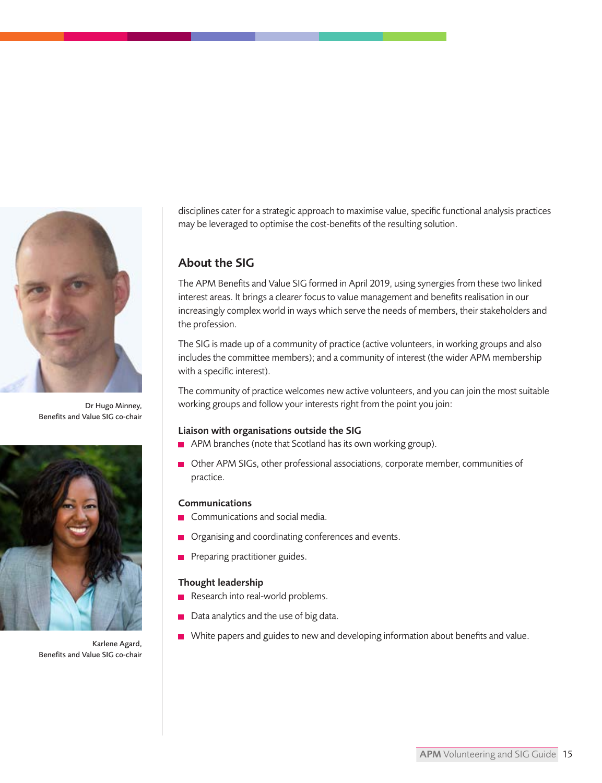

Dr Hugo Minney, Benefits and Value SIG co-chair



Karlene Agard, Benefits and Value SIG co-chair

disciplines cater for a strategic approach to maximise value, specific functional analysis practices may be leveraged to optimise the cost-benefits of the resulting solution.

# About the SIG

The APM Benefits and Value SIG formed in April 2019, using synergies from these two linked interest areas. It brings a clearer focus to value management and benefits realisation in our increasingly complex world in ways which serve the needs of members, their stakeholders and the profession.

The SIG is made up of a community of practice (active volunteers, in working groups and also includes the committee members); and a community of interest (the wider APM membership with a specific interest).

The community of practice welcomes new active volunteers, and you can join the most suitable working groups and follow your interests right from the point you join:

#### Liaison with organisations outside the SIG

- **APM** branches (note that Scotland has its own working group).
- Other APM SIGs, other professional associations, corporate member, communities of practice.

#### Communications

- **Communications and social media.**
- **Organising and coordinating conferences and events.**
- **Preparing practitioner guides.**

#### Thought leadership

- Research into real-world problems.
- Data analytics and the use of big data.
- White papers and guides to new and developing information about benefits and value.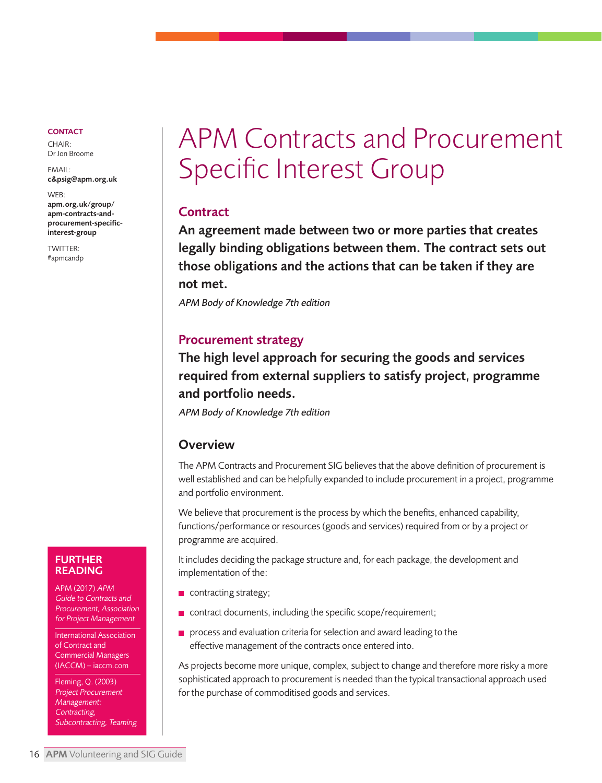<span id="page-15-0"></span>CHAIR: Dr Jon Broome

EMAIL: [c&psig@apm.org.uk](mailto: c&psig@apm.org.uk)

WEB: apm.org.uk/group/ apm-contracts-and[procurement-specific](https://www.apm.org.uk/community/contracts-and-procurement-sig/)interest-group

TWITTER: [#apmcandp](https://twitter.com/hashtag/apmcandp)

# APM Contracts and Procurement Specific Interest Group

# **Contract**

An agreement made between two or more parties that creates legally binding obligations between them. The contract sets out those obligations and the actions that can be taken if they are not met.

APM Body of Knowledge 7th edition

# Procurement strategy

The high level approach for securing the goods and services required from external suppliers to satisfy project, programme and portfolio needs.

APM Body of Knowledge 7th edition

## **Overview**

The APM Contracts and Procurement SIG believes that the above definition of procurement is well established and can be helpfully expanded to include procurement in a project, programme and portfolio environment.

We believe that procurement is the process by which the benefits, enhanced capability, functions/performance or resources (goods and services) required from or by a project or programme are acquired.

It includes deciding the package structure and, for each package, the development and implementation of the:

- $\blacksquare$  contracting strategy;
- $\blacksquare$  contract documents, including the specific scope/requirement;
- **process and evaluation criteria for selection and award leading to the** effective management of the contracts once entered into.

As projects become more unique, complex, subject to change and therefore more risky a more sophisticated approach to procurement is needed than the typical transactional approach used for the purchase of commoditised goods and services.

#### FURTHER READING

APM (2017) APM Guide to Contracts and Procurement, Association for Project Management

International Association of Contract and Commercial Managers (IACCM) – iaccm.com

Fleming, Q. (2003) Project Procurement Management: Contracting, Subcontracting, Teaming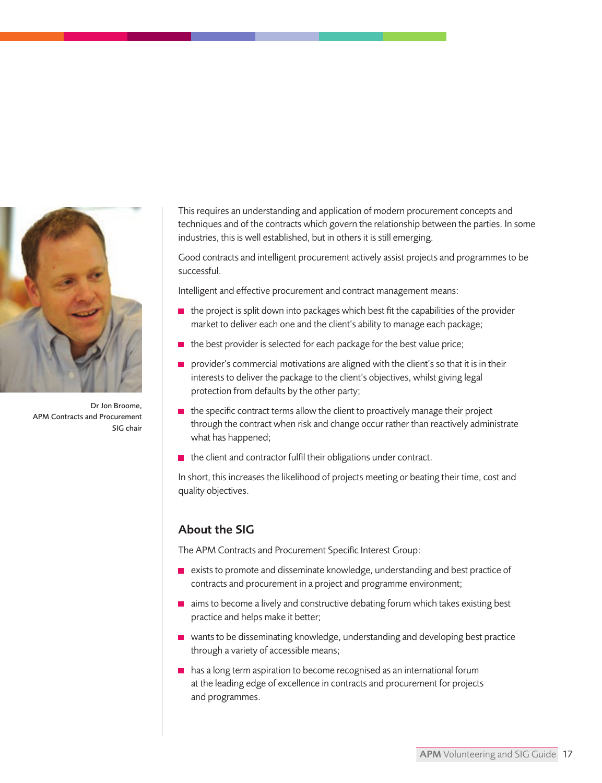

Dr Jon Broome, APM Contracts and Procurement SIG chair

This requires an understanding and application of modern procurement concepts and techniques and of the contracts which govern the relationship between the parties. In some industries, this is well established, but in others it is still emerging.

Good contracts and intelligent procurement actively assist projects and programmes to be successful.

Intelligent and effective procurement and contract management means:

- $\blacksquare$  the project is split down into packages which best fit the capabilities of the provider market to deliver each one and the client's ability to manage each package;
- $\blacksquare$  the best provider is selected for each package for the best value price;
- $\blacksquare$ provider's commercial motivations are aligned with the client's so that it is in their interests to deliver the package to the client's objectives, whilst giving legal protection from defaults by the other party;
- $\blacksquare$  the specific contract terms allow the client to proactively manage their project through the contract when risk and change occur rather than reactively administrate what has happened;
- $\blacksquare$  the client and contractor fulfil their obligations under contract.

In short, this increases the likelihood of projects meeting or beating their time, cost and quality objectives.

## About the SIG

The APM Contracts and Procurement Specific Interest Group:

- exists to promote and disseminate knowledge, understanding and best practice of contracts and procurement in a project and programme environment;
- aims to become a lively and constructive debating forum which takes existing best practice and helps make it better;
- $\blacksquare$  wants to be disseminating knowledge, understanding and developing best practice through a variety of accessible means;
- has a long term aspiration to become recognised as an international forum at the leading edge of excellence in contracts and procurement for projects and programmes.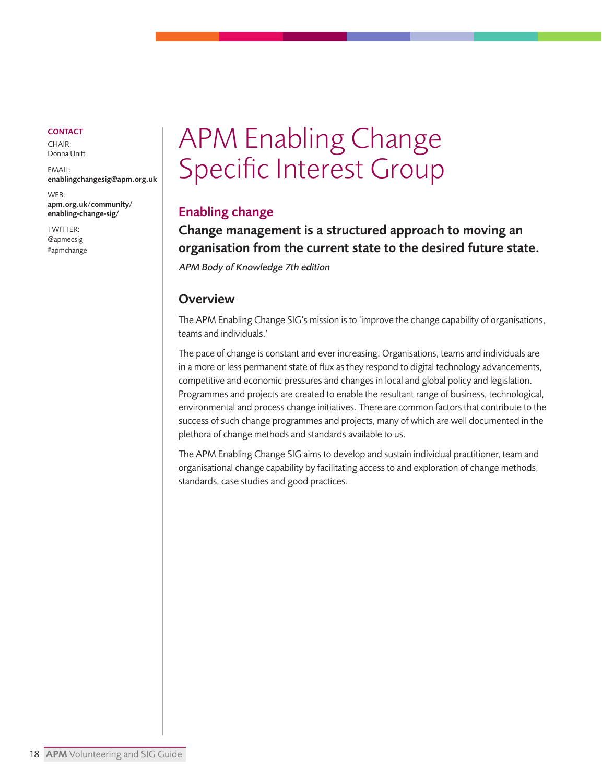<span id="page-17-0"></span>CHAIR: Donna Unitt

EMAIL: [enablingchangesig@apm.org.uk](mailto: enablingchangesig@apm.org.uk)

WEB: [apm.org.uk/community/](https://www.apm.org.uk/community/enabling-change-sig/)  enabling-change-sig/

TWITTER: [@apmecsig](https://twitter.com/apmecsig) [#apmchange](https://twitter.com/hashtag/apmchan)

# APM Enabling Change Specific Interest Group

# Enabling change

Change management is a structured approach to moving an organisation from the current state to the desired future state. APM Body of Knowledge 7th edition

## **Overview**

The APM Enabling Change SIG's mission is to 'improve the change capability of organisations, teams and individuals.'

The pace of change is constant and ever increasing. Organisations, teams and individuals are in a more or less permanent state of flux as they respond to digital technology advancements, competitive and economic pressures and changes in local and global policy and legislation. Programmes and projects are created to enable the resultant range of business, technological, environmental and process change initiatives. There are common factors that contribute to the success of such change programmes and projects, many of which are well documented in the plethora of change methods and standards available to us.

The APM Enabling Change SIG aims to develop and sustain individual practitioner, team and organisational change capability by facilitating access to and exploration of change methods, standards, case studies and good practices.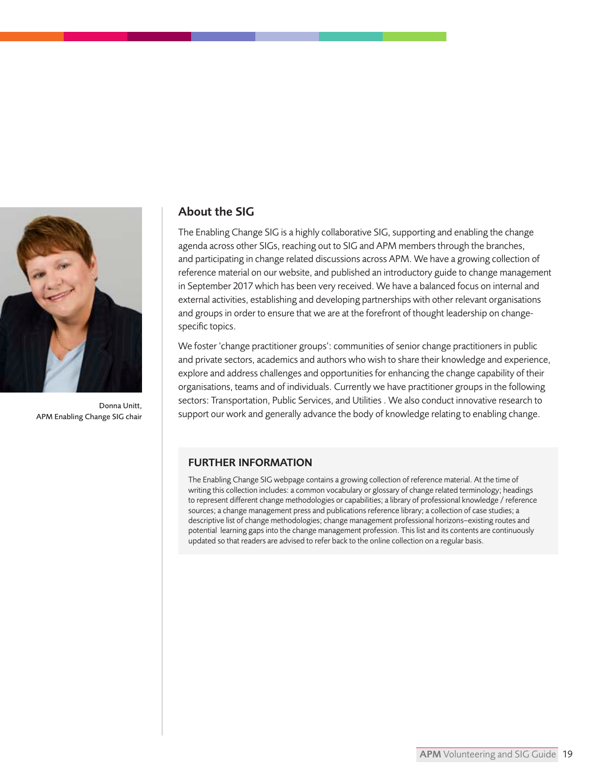

Donna Unitt, APM Enabling Change SIG chair

#### About the SIG

The Enabling Change SIG is a highly collaborative SIG, supporting and enabling the change agenda across other SIGs, reaching out to SIG and APM members through the branches, and participating in change related discussions across APM. We have a growing collection of reference material on our website, and published an introductory guide to change management in September 2017 which has been very received. We have a balanced focus on internal and external activities, establishing and developing partnerships with other relevant organisations and groups in order to ensure that we are at the forefront of thought leadership on changespecific topics.

We foster 'change practitioner groups': communities of senior change practitioners in public and private sectors, academics and authors who wish to share their knowledge and experience, explore and address challenges and opportunities for enhancing the change capability of their organisations, teams and of individuals. Currently we have practitioner groups in the following sectors: Transportation, Public Services, and Utilities . We also conduct innovative research to support our work and generally advance the body of knowledge relating to enabling change.

#### FURTHER INFORMATION

The Enabling Change SIG webpage contains a growing collection of reference material. At the time of writing this collection includes: a common vocabulary or glossary of change related terminology; headings to represent different change methodologies or capabilities; a library of professional knowledge / reference sources; a change management press and publications reference library; a collection of case studies; a descriptive list of change methodologies; change management professional horizons–existing routes and potential learning gaps into the change management profession. This list and its contents are continuously updated so that readers are advised to refer back to the online collection on a regular basis.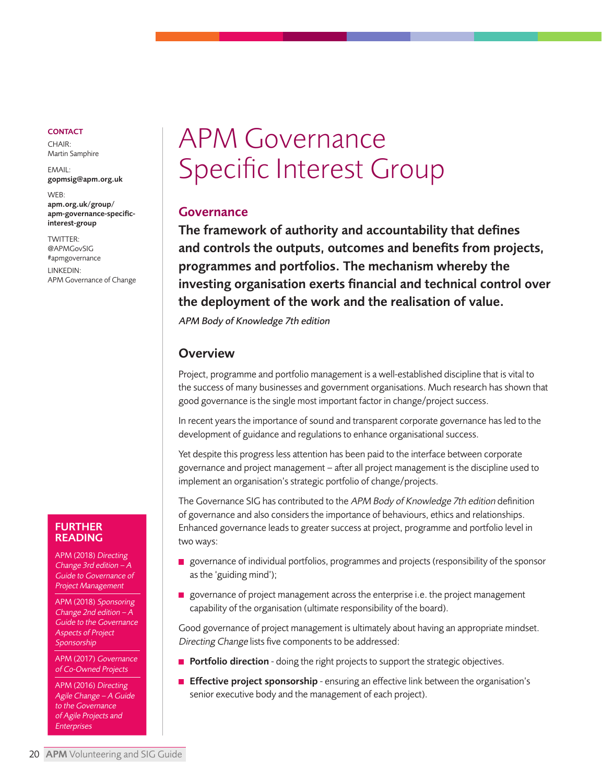<span id="page-19-0"></span> $CHAIR$ Martin Samphire

EMAIL: [gopmsig@apm.org.uk](mailto: gopmsig@apm.org.uk)

WEB: apm.org.uk/group/ [apm-governance-specific](https://www.apm.org.uk/community/governance-sig/)interest-group

TWITTER: [@APMGovSIG](https://twitter.com/apmgovsig)  [#apmgovernance](https://twitter.com/hashtag/apmgovernance) LINKEDIN: APM Governance of Change

# APM Governance Specific Interest Group

## Governance

The framework of authority and accountability that defines and controls the outputs, outcomes and benefits from projects, programmes and portfolios. The mechanism whereby the investing organisation exerts financial and technical control over the deployment of the work and the realisation of value.

APM Body of Knowledge 7th edition

## **Overview**

Project, programme and portfolio management is a well-established discipline that is vital to the success of many businesses and government organisations. Much research has shown that good governance is the single most important factor in change/project success.

In recent years the importance of sound and transparent corporate governance has led to the development of guidance and regulations to enhance organisational success.

Yet despite this progress less attention has been paid to the interface between corporate governance and project management – after all project management is the discipline used to implement an organisation's strategic portfolio of change/projects.

The Governance SIG has contributed to the APM Body of Knowledge 7th edition definition of governance and also considers the importance of behaviours, ethics and relationships. Enhanced governance leads to greater success at project, programme and portfolio level in two ways:

- **p** governance of individual portfolios, programmes and projects (responsibility of the sponsor as the 'guiding mind');
- governance of project management across the enterprise i.e. the project management capability of the organisation (ultimate responsibility of the board).

Good governance of project management is ultimately about having an appropriate mindset. Directing Change lists five components to be addressed:

- $\blacksquare$  Portfolio direction doing the right projects to support the strategic objectives.
- **Effective project sponsorship** ensuring an effective link between the organisation's senior executive body and the management of each project).

#### FURTHER READING

APM (2018) Directing Change 3rd edition – A Guide to Governance of Project Management

APM (2018) Sponsoring Change 2nd edition – A Guide to the Governance Aspects of Project **Sponsorship** 

APM (2017) Governance of Co-Owned Projects

APM (2016) Directing Agile Change – A Guide to the Governance of Agile Projects and Enterprises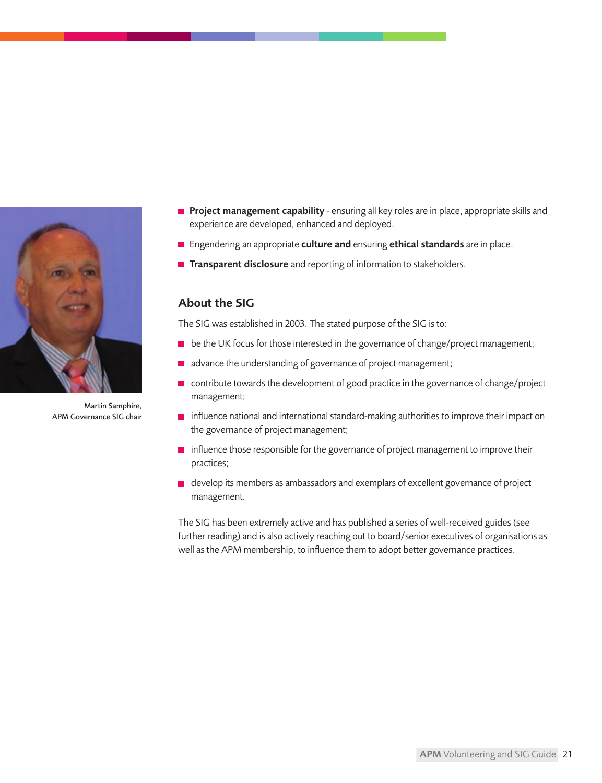

Martin Samphire, APM Governance SIG chair

- **Project management capability** ensuring all key roles are in place, appropriate skills and experience are developed, enhanced and deployed.
- **Engendering an appropriate culture and ensuring ethical standards** are in place.
- **Transparent disclosure** and reporting of information to stakeholders.

## About the SIG

The SIG was established in 2003. The stated purpose of the SIG is to:

- **b** be the UK focus for those interested in the governance of change/project management;
- advance the understanding of governance of project management;
- contribute towards the development of good practice in the governance of change/project management;
- **n** influence national and international standard-making authorities to improve their impact on the governance of project management;
- $\blacksquare$  influence those responsible for the governance of project management to improve their practices;
- **d** develop its members as ambassadors and exemplars of excellent governance of project management.

The SIG has been extremely active and has published a series of well-received guides (see further reading) and is also actively reaching out to board/senior executives of organisations as well as the APM membership, to influence them to adopt better governance practices.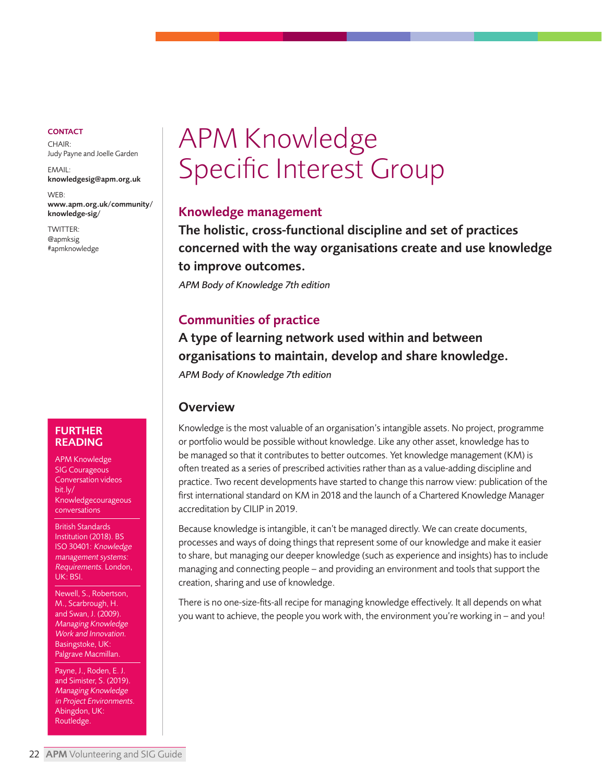<span id="page-21-0"></span> $CHAIR$ Judy Payne and Joelle Garden

EMAIL: [knowledgesig@apm.org.uk](mailto: knowledgesig@apm.org.uk)

WEB: [www.apm.org.uk/community/](https://www.apm.org.uk/community/knowledge-sig/) knowledge-sig/

TWITTER: [@apmksig](https://twitter.com/apmksig) [#apmknowledge](https://twitter.com/hashtag/apmknowledge?lang=en-gb)

#### FURTHER READING

APM Knowledge SIG Courageous Conversation videos bit.ly/ Knowledgecourageous conversations

British Standards Institution (2018). BS ISO 30401: Knowledge management systems: Requirements. London, UK: BSI.

Newell, S., Robertson, M., Scarbrough, H. and Swan, J. (2009). Managing Knowledge Work and Innovation. Basingstoke, UK: Palgrave Macmillan.

Payne, J., Roden, E. J. and Simister, S. (2019). Managing Knowledge in Project Environments. Abingdon, UK: Routledge.

# APM Knowledge Specific Interest Group

#### Knowledge management

The holistic, cross-functional discipline and set of practices concerned with the way organisations create and use knowledge to improve outcomes.

APM Body of Knowledge 7th edition

# Communities of practice

A type of learning network used within and between organisations to maintain, develop and share knowledge.

APM Body of Knowledge 7th edition

## **Overview**

Knowledge is the most valuable of an organisation's intangible assets. No project, programme or portfolio would be possible without knowledge. Like any other asset, knowledge has to be managed so that it contributes to better outcomes. Yet knowledge management (KM) is often treated as a series of prescribed activities rather than as a value-adding discipline and practice. Two recent developments have started to change this narrow view: publication of the first international standard on KM in 2018 and the launch of a Chartered Knowledge Manager accreditation by CILIP in 2019.

Because knowledge is intangible, it can't be managed directly. We can create documents, processes and ways of doing things that represent some of our knowledge and make it easier to share, but managing our deeper knowledge (such as experience and insights) has to include managing and connecting people – and providing an environment and tools that support the creation, sharing and use of knowledge.

There is no one-size-fits-all recipe for managing knowledge effectively. It all depends on what you want to achieve, the people you work with, the environment you're working in – and you!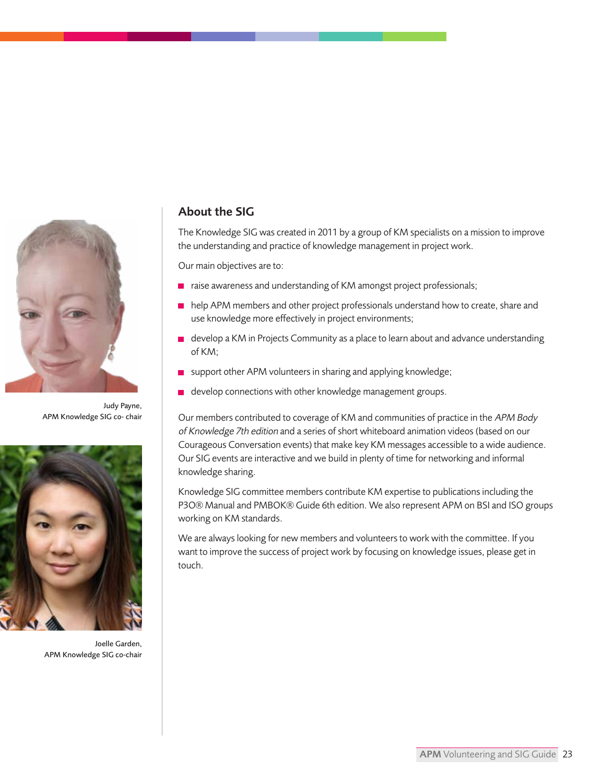

Judy Payne, APM Knowledge SIG co- chair



Joelle Garden, APM Knowledge SIG co-chair

## About the SIG

The Knowledge SIG was created in 2011 by a group of KM specialists on a mission to improve the understanding and practice of knowledge management in project work.

Our main objectives are to:

- $\blacksquare$  raise awareness and understanding of KM amongst project professionals;
- help APM members and other project professionals understand how to create, share and use knowledge more effectively in project environments;
- $\blacksquare$  develop a KM in Projects Community as a place to learn about and advance understanding of KM;
- support other APM volunteers in sharing and applying knowledge;
- e develop connections with other knowledge management groups.

Our members contributed to coverage of KM and communities of practice in the APM Body of Knowledge 7th edition and a series of short whiteboard animation videos (based on our Courageous Conversation events) that make key KM messages accessible to a wide audience. Our SIG events are interactive and we build in plenty of time for networking and informal knowledge sharing.

Knowledge SIG committee members contribute KM expertise to publications including the P3O® Manual and PMBOK® Guide 6th edition. We also represent APM on BSI and ISO groups working on KM standards.

We are always looking for new members and volunteers to work with the committee. If you want to improve the success of project work by focusing on knowledge issues, please get in touch.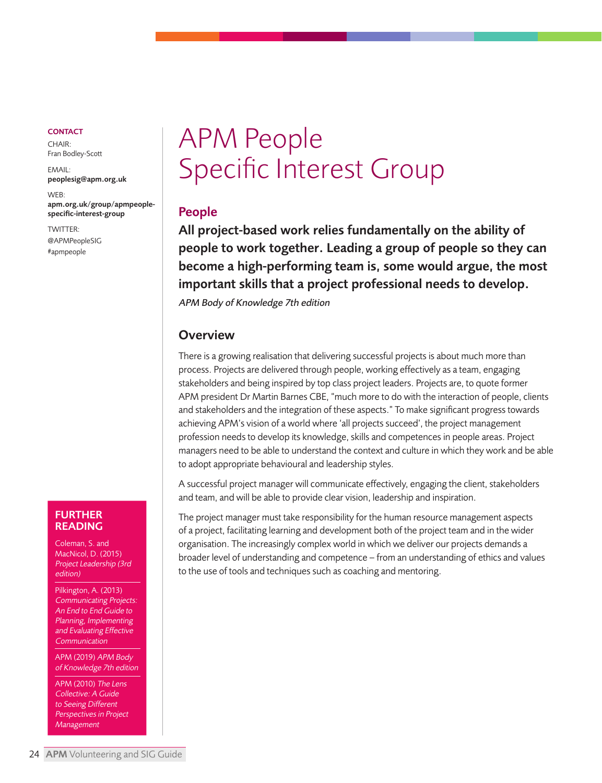<span id="page-23-0"></span> $CHAIR$ Fran Bodley-Scott

EMAIL: [peoplesig@apm.org.uk](mailto: peoplesig@apm.org.uk)

WEB: [apm.org.uk/group/apmpeople](https://www.apm.org.uk/community/people-sig/)specific-interest-group

TWITTER: [@APMPeopleSIG](https://twitter.com/APMPeopleSIG) [#apmpeople](https://twitter.com/hashtag/apmpeople)

# APM People Specific Interest Group

#### People

All project-based work relies fundamentally on the ability of people to work together. Leading a group of people so they can become a high-performing team is, some would argue, the most important skills that a project professional needs to develop.

APM Body of Knowledge 7th edition

#### **Overview**

There is a growing realisation that delivering successful projects is about much more than process. Projects are delivered through people, working effectively as a team, engaging stakeholders and being inspired by top class project leaders. Projects are, to quote former APM president Dr Martin Barnes CBE, "much more to do with the interaction of people, clients and stakeholders and the integration of these aspects." To make significant progress towards achieving APM's vision of a world where 'all projects succeed', the project management profession needs to develop its knowledge, skills and competences in people areas. Project managers need to be able to understand the context and culture in which they work and be able to adopt appropriate behavioural and leadership styles.

A successful project manager will communicate effectively, engaging the client, stakeholders and team, and will be able to provide clear vision, leadership and inspiration.

The project manager must take responsibility for the human resource management aspects of a project, facilitating learning and development both of the project team and in the wider organisation. The increasingly complex world in which we deliver our projects demands a broader level of understanding and competence – from an understanding of ethics and values to the use of tools and techniques such as coaching and mentoring.

#### FURTHER **READING**

Coleman, S. and MacNicol, D. (2015) Project Leadership (3rd edition)

Pilkington, A. (2013) Communicating Projects: An End to End Guide to Planning, Implementing and Evaluating Effective **Communication** 

APM (2019) APM Body of Knowledge 7th edition

APM (2010) The Lens Collective: A Guide to Seeing Different Perspectives in Project Management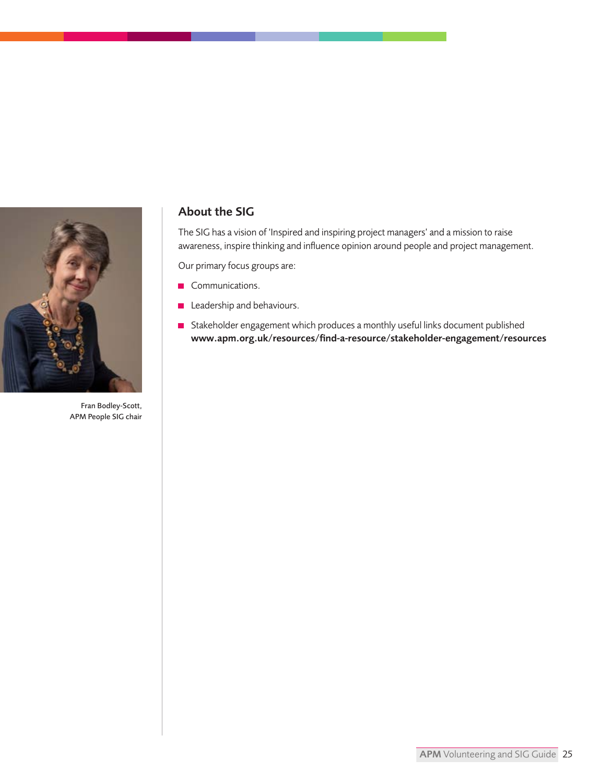

Fran Bodley-Scott, APM People SIG chair

## About the SIG

The SIG has a vision of 'Inspired and inspiring project managers' and a mission to raise awareness, inspire thinking and influence opinion around people and project management.

Our primary focus groups are:

- Communications.
- **Leadership and behaviours.**
- Stakeholder engagement which produces a monthly useful links document published [www.apm.org.uk/resources/find-a-resource/stakeholder-engagement/resources](https://www.apm.org.uk/resources/find-a-resource/stakeholder-engagement/resources/)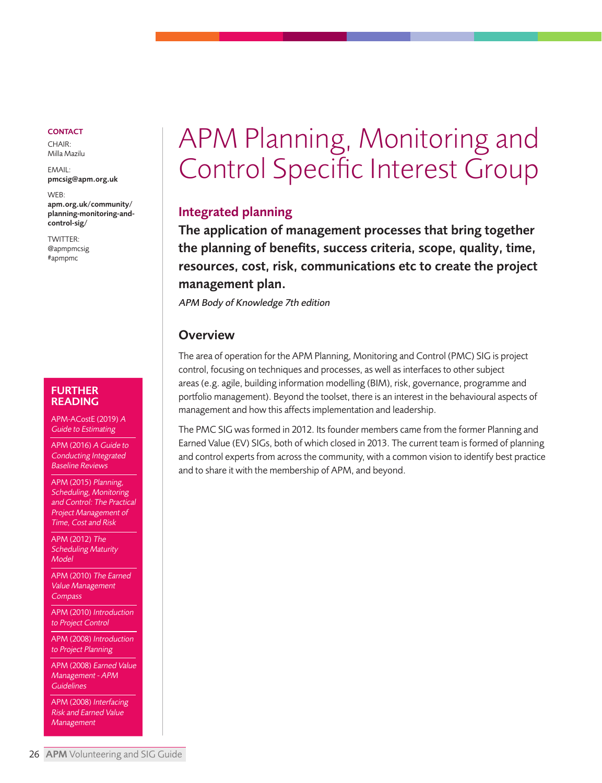<span id="page-25-0"></span>CHAIR: Milla Mazilu

EMAIL: [pmcsig@apm.org.uk](mailto: pmcsig@apm.org.uk)

WEB: apm.org.uk/community/ [planning-monitoring-and](https://www.apm.org.uk/community/planning-monitoring-and-control-sig/)control-sig/

TWITTER: [@apmpmcsig](https://twitter.com/apm_pmc_sig) [#apmpmc](https://twitter.com/hashtag/apmpmc)

#### FURTHER READING

APM-ACostE (2019) <sup>A</sup> Guide to Estimating

APM (2016) A Guide to Conducting Integrated Baseline Reviews

APM (2015) Planning, Scheduling, Monitoring and Control: The Practical Project Management of Time, Cost and Risk

APM (2012) The Scheduling Maturity Model

APM (2010) The Earned Value Management **Compass** 

APM (2010) Introduction to Project Control

APM (2008) Introduction to Project Planning

APM (2008) Earned Value Management - APM **Guidelines** 

APM (2008) Interfacing Risk and Earned Value Management

# APM Planning, Monitoring and Control Specific Interest Group

#### Integrated planning

The application of management processes that bring together the planning of benefits, success criteria, scope, quality, time, resources, cost, risk, communications etc to create the project management plan.

APM Body of Knowledge 7th edition

#### **Overview**

The area of operation for the APM Planning, Monitoring and Control (PMC) SIG is project control, focusing on techniques and processes, as well as interfaces to other subject areas (e.g. agile, building information modelling (BIM), risk, governance, programme and portfolio management). Beyond the toolset, there is an interest in the behavioural aspects of management and how this affects implementation and leadership.

The PMC SIG was formed in 2012. Its founder members came from the former Planning and Earned Value (EV) SIGs, both of which closed in 2013. The current team is formed of planning and control experts from across the community, with a common vision to identify best practice and to share it with the membership of APM, and beyond.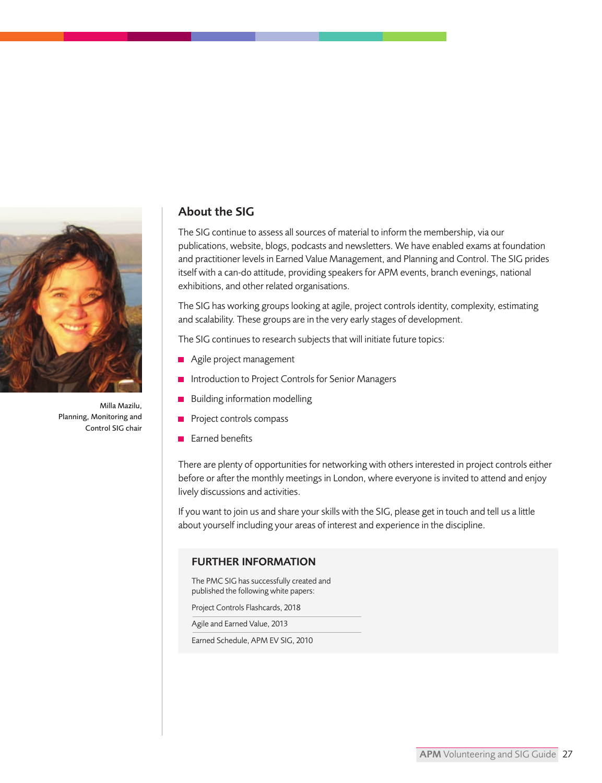

Milla Mazilu, Planning, Monitoring and Control SIG chair

## About the SIG

The SIG continue to assess all sources of material to inform the membership, via our publications, website, blogs, podcasts and newsletters. We have enabled exams at foundation and practitioner levels in Earned Value Management, and Planning and Control. The SIG prides itself with a can-do attitude, providing speakers for APM events, branch evenings, national exhibitions, and other related organisations.

The SIG has working groups looking at agile, project controls identity, complexity, estimating and scalability. These groups are in the very early stages of development.

The SIG continues to research subjects that will initiate future topics:

- Agile project management
- **Introduction to Project Controls for Senior Managers**
- **Building information modelling**
- $\blacksquare$  Project controls compass
- Earned benefits

There are plenty of opportunities for networking with others interested in project controls either before or after the monthly meetings in London, where everyone is invited to attend and enjoy lively discussions and activities.

If you want to join us and share your skills with the SIG, please get in touch and tell us a little about yourself including your areas of interest and experience in the discipline.

#### FURTHER INFORMATION

The PMC SIG has successfully created and published the following white papers:

Project Controls Flashcards, 2018

Agile and Earned Value, 2013

Earned Schedule, APM EV SIG, 2010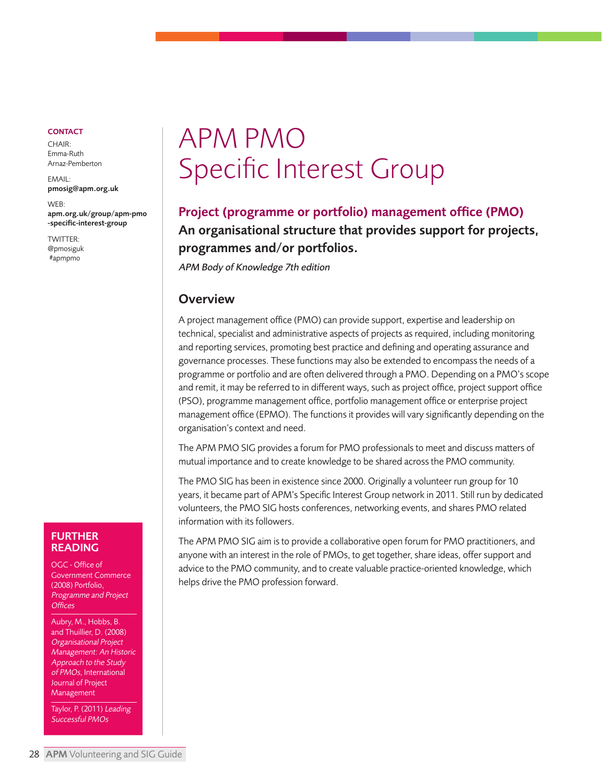<span id="page-27-0"></span> $CHAIR$ Emma-Ruth Arnaz-Pemberton

 $EMAAH$ [pmosig@apm.org.uk](mailto: pmosig@apm.org.uk)

WEB: [apm.org.uk/group/apm-pmo](https://www.apm.org.uk/community/pmo-sig/) -specific-interest-group

TWITTER: [@pmosiguk](https://twitter.com/pmosiguk?lang=en)  [#apmpmo](https://twitter.com/hashtag/apmpmo)

#### FURTHER READING

OGC - Office of Government Commerce (2008) Portfolio, Programme and Project **Offices** 

Aubry, M., Hobbs, B. and Thuillier, D. (2008) Organisational Project Management: An Historic Approach to the Study of PMOs, International Journal of Project Management

Taylor, P. (2011) Leading Successful PMOs

# APM PMO Specific Interest Group

# Project (programme or portfolio) management office (PMO) An organisational structure that provides support for projects, programmes and/or portfolios.

APM Body of Knowledge 7th edition

#### **Overview**

A project management office (PMO) can provide support, expertise and leadership on technical, specialist and administrative aspects of projects as required, including monitoring and reporting services, promoting best practice and defining and operating assurance and governance processes. These functions may also be extended to encompass the needs of a programme or portfolio and are often delivered through a PMO. Depending on a PMO's scope and remit, it may be referred to in different ways, such as project office, project support office (PSO), programme management office, portfolio management office or enterprise project management office (EPMO). The functions it provides will vary significantly depending on the organisation's context and need.

The APM PMO SIG provides a forum for PMO professionals to meet and discuss matters of mutual importance and to create knowledge to be shared across the PMO community.

The PMO SIG has been in existence since 2000. Originally a volunteer run group for 10 years, it became part of APM's Specific Interest Group network in 2011. Still run by dedicated volunteers, the PMO SIG hosts conferences, networking events, and shares PMO related information with its followers.

The APM PMO SIG aim is to provide a collaborative open forum for PMO practitioners, and anyone with an interest in the role of PMOs, to get together, share ideas, offer support and advice to the PMO community, and to create valuable practice-oriented knowledge, which helps drive the PMO profession forward.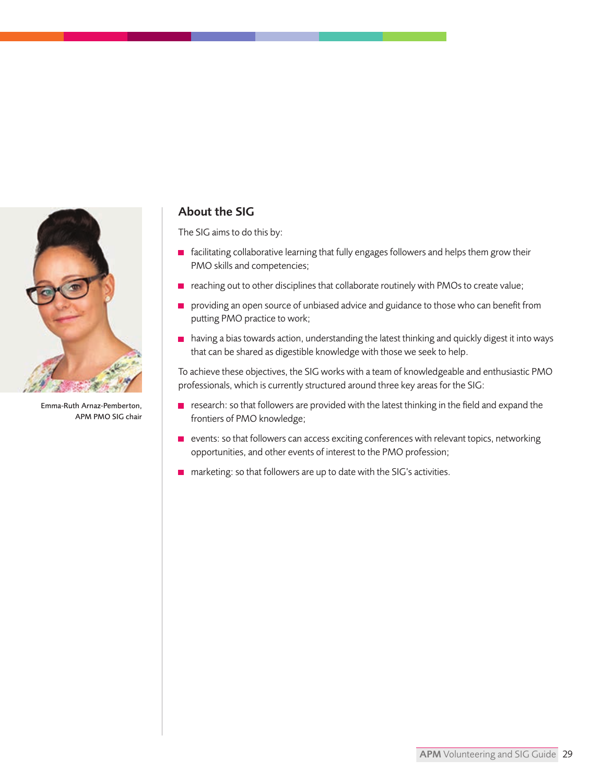

Emma-Ruth Arnaz-Pemberton, APM PMO SIG chair

# About the SIG

The SIG aims to do this by:

- $\blacksquare$  facilitating collaborative learning that fully engages followers and helps them grow their PMO skills and competencies;
- $\blacksquare$  reaching out to other disciplines that collaborate routinely with PMOs to create value;
- **providing an open source of unbiased advice and guidance to those who can benefit from** putting PMO practice to work;
- $\blacksquare$  having a bias towards action, understanding the latest thinking and quickly digest it into ways that can be shared as digestible knowledge with those we seek to help.

To achieve these objectives, the SIG works with a team of knowledgeable and enthusiastic PMO professionals, which is currently structured around three key areas for the SIG:

- $\blacksquare$  research: so that followers are provided with the latest thinking in the field and expand the frontiers of PMO knowledge;
- events: so that followers can access exciting conferences with relevant topics, networking opportunities, and other events of interest to the PMO profession;
- $\blacksquare$  marketing: so that followers are up to date with the SIG's activities.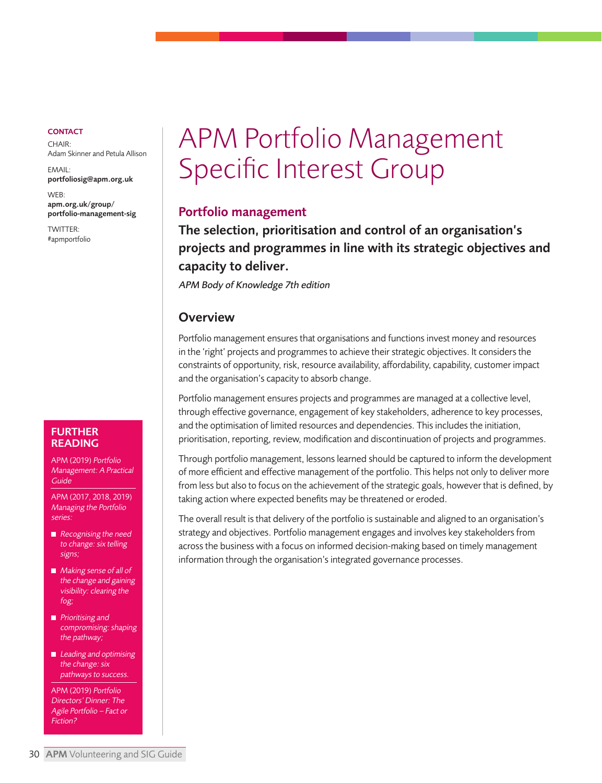<span id="page-29-0"></span>CHAIR: Adam Skinner and Petula Allison

EMAIL: [portfoliosig@apm.org.uk](mailto: portfoliosig@apm.org.uk)

WEB: apm.org.uk/group/ [portfolio-management-sig](https://www.apm.org.uk/community/portfolio-management-sig/)

TWITTER: [#apmportfolio](https://twitter.com/hashtag/apmportfolio?src=hash)

# APM Portfolio Management Specific Interest Group

#### Portfolio management

The selection, prioritisation and control of an organisation's projects and programmes in line with its strategic objectives and capacity to deliver.

APM Body of Knowledge 7th edition

#### **Overview**

Portfolio management ensures that organisations and functions invest money and resources in the 'right' projects and programmes to achieve their strategic objectives. It considers the constraints of opportunity, risk, resource availability, affordability, capability, customer impact and the organisation's capacity to absorb change.

Portfolio management ensures projects and programmes are managed at a collective level, through effective governance, engagement of key stakeholders, adherence to key processes, and the optimisation of limited resources and dependencies. This includes the initiation, prioritisation, reporting, review, modification and discontinuation of projects and programmes.

Through portfolio management, lessons learned should be captured to inform the development of more efficient and effective management of the portfolio. This helps not only to deliver more from less but also to focus on the achievement of the strategic goals, however that is defined, by taking action where expected benefits may be threatened or eroded.

The overall result is that delivery of the portfolio is sustainable and aligned to an organisation's strategy and objectives. Portfolio management engages and involves key stakeholders from across the business with a focus on informed decision-making based on timely management information through the organisation's integrated governance processes.

#### FURTHER READING

APM (2019) Portfolio Management: A Practical Guide

APM (2017, 2018, 2019) Managing the Portfolio series:

- $\blacksquare$  Recognising the need to change: six telling signs;
- **Making sense of all of** the change and gaining visibility: clearing the fog;
- **Prioritising and** compromising: shaping the pathway;
- $\blacksquare$  Leading and optimising the change: six pathways to success.

APM (2019) Portfolio Directors' Dinner: The Agile Portfolio – Fact or Fiction?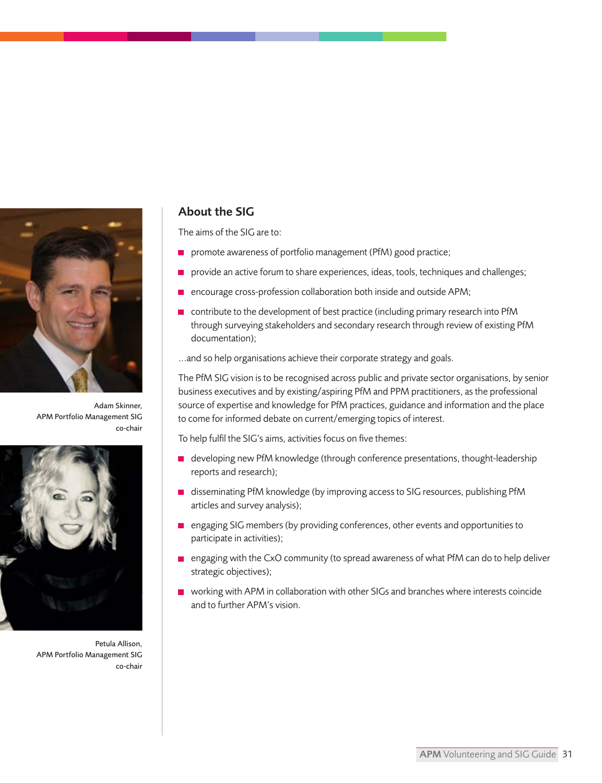

Adam Skinner, APM Portfolio Management SIG co-chair



Petula Allison, APM Portfolio Management SIG co-chair

## About the SIG

The aims of the SIG are to:

- promote awareness of portfolio management (PfM) good practice;
- provide an active forum to share experiences, ideas, tools, techniques and challenges;
- encourage cross-profession collaboration both inside and outside APM;
- **n** contribute to the development of best practice (including primary research into PfM through surveying stakeholders and secondary research through review of existing PfM documentation);

...and so help organisations achieve their corporate strategy and goals.

The PfM SIG vision is to be recognised across public and private sector organisations, by senior business executives and by existing/aspiring PfM and PPM practitioners, as the professional source of expertise and knowledge for PfM practices, guidance and information and the place to come for informed debate on current/emerging topics of interest.

To help fulfil the SIG's aims, activities focus on five themes:

- developing new PfM knowledge (through conference presentations, thought-leadership reports and research);
- disseminating PfM knowledge (by improving access to SIG resources, publishing PfM articles and survey analysis);
- engaging SIG members (by providing conferences, other events and opportunities to participate in activities);
- engaging with the CxO community (to spread awareness of what PfM can do to help deliver strategic objectives);
- working with APM in collaboration with other SIGs and branches where interests coincide and to further APM's vision.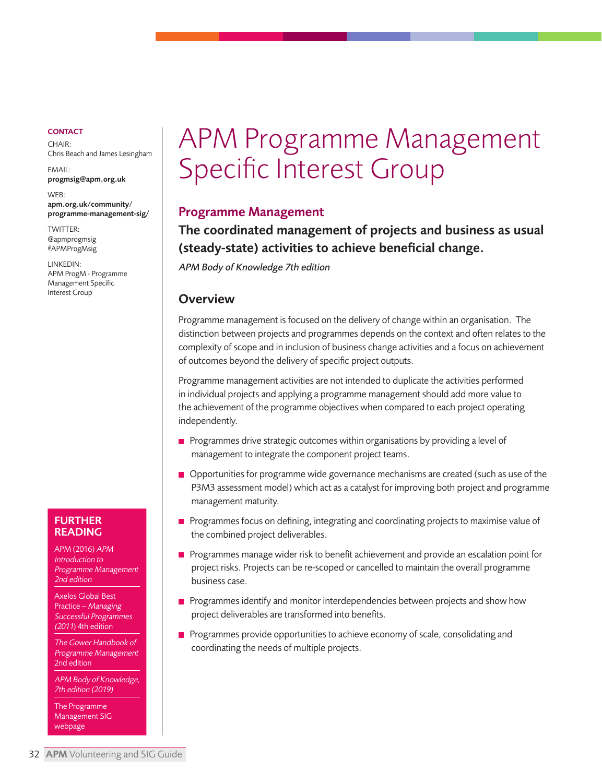<span id="page-31-0"></span>CHAIR: Chris Beach and James Lesingham

EMAIL: [progmsig@apm.org.uk](mailto: progmsig@apm.org.uk)

WEB: apm.org.uk/community/ [programme-management-sig/](https://www.apm.org.uk/community/programme-management-sig/)

[TWITTER:](https://twitter.com/apmprogmsig?lang=en)  [@apmprogmsig](https://twitter.com/hashtag/apmprogmsig?src=hash) #APMProgMsig

LINKEDIN: [APM ProgM - Programme](https://www.linkedin.com/groups/1858851/) Management Specific Interest Group

#### FURTHER READING

APM (2016) APM Introduction to Programme Management 2nd edition

Axelos Global Best Practice – Managing Successful Programmes (2011) 4th edition

The Gower Handbook of Programme Management 2nd edition

APM Body of Knowledge, 7th edition (2019)

The Programme Management SIG webpage

# APM Programme Management Specific Interest Group

## Programme Management

The coordinated management of projects and business as usual (steady-state) activities to achieve beneficial change.

APM Body of Knowledge 7th edition

#### **Overview**

Programme management is focused on the delivery of change within an organisation. The distinction between projects and programmes depends on the context and often relates to the complexity of scope and in inclusion of business change activities and a focus on achievement of outcomes beyond the delivery of specific project outputs.

Programme management activities are not intended to duplicate the activities performed in individual projects and applying a programme management should add more value to the achievement of the programme objectives when compared to each project operating independently.

- $\blacksquare$  Programmes drive strategic outcomes within organisations by providing a level of management to integrate the component project teams.
- **Opportunities for programme wide governance mechanisms are created (such as use of the** P3M3 assessment model) which act as a catalyst for improving both project and programme management maturity.
- **Programmes focus on defining, integrating and coordinating projects to maximise value of** the combined project deliverables.
- **Programmes manage wider risk to benefit achievement and provide an escalation point for** project risks. Projects can be re-scoped or cancelled to maintain the overall programme business case.
- **Programmes identify and monitor interdependencies between projects and show how** project deliverables are transformed into benefits.
- **Programmes provide opportunities to achieve economy of scale, consolidating and** coordinating the needs of multiple projects.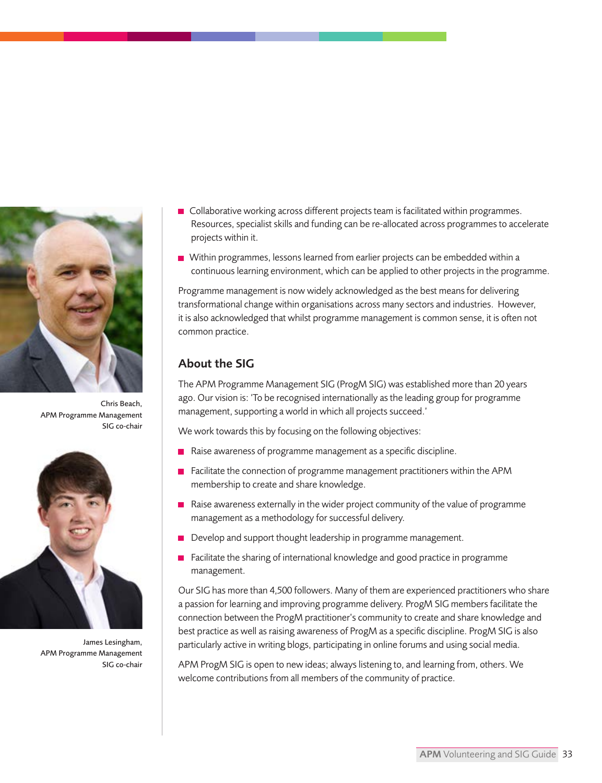

Chris Beach, APM Programme Management SIG co-chair



James Lesingham, APM Programme Management SIG co-chair

- Collaborative working across different projects team is facilitated within programmes. Resources, specialist skills and funding can be re-allocated across programmes to accelerate projects within it.
- Within programmes, lessons learned from earlier projects can be embedded within a continuous learning environment, which can be applied to other projects in the programme.

Programme management is now widely acknowledged as the best means for delivering transformational change within organisations across many sectors and industries. However, it is also acknowledged that whilst programme management is common sense, it is often not common practice.

## About the SIG

The APM Programme Management SIG (ProgM SIG) was established more than 20 years ago. Our vision is: 'To be recognised internationally as the leading group for programme management, supporting a world in which all projects succeed.'

We work towards this by focusing on the following objectives:

- $\blacksquare$  Raise awareness of programme management as a specific discipline.
- $\blacksquare$  Facilitate the connection of programme management practitioners within the APM membership to create and share knowledge.
- Raise awareness externally in the wider project community of the value of programme management as a methodology for successful delivery.
- Develop and support thought leadership in programme management.
- Facilitate the sharing of international knowledge and good practice in programme management.

Our SIG has more than 4,500 followers. Many of them are experienced practitioners who share a passion for learning and improving programme delivery. ProgM SIG members facilitate the connection between the ProgM practitioner's community to create and share knowledge and best practice as well as raising awareness of ProgM as a specific discipline. ProgM SIG is also particularly active in writing blogs, participating in online forums and using social media.

APM ProgM SIG is open to new ideas; always listening to, and learning from, others. We welcome contributions from all members of the community of practice.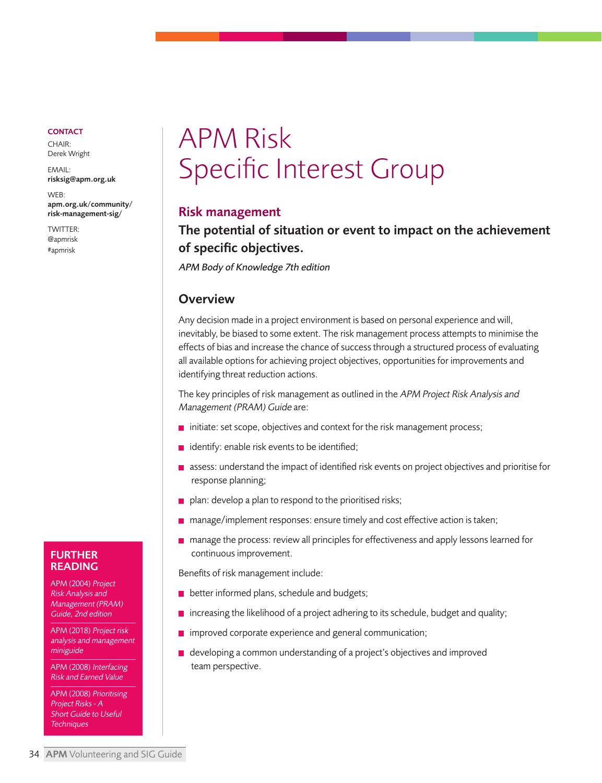<span id="page-33-0"></span> $CHAIR$ Derek Wright

EMAIL: [risksig@apm.org.uk](mailto: risksig@apm.org.uk)

WEB: [apm.org.uk/community/](https://www.apm.org.uk/community/risk-management-sig/)  risk-management-sig/

TWITTER: [@apmrisk](https://twitter.com/apmrisk) [#apmrisk](https://twitter.com/hashtag/apmrisk)

# APM Risk Specific Interest Group

#### Risk management

# The potential of situation or event to impact on the achievement of specific objectives.

APM Body of Knowledge 7th edition

## **Overview**

Any decision made in a project environment is based on personal experience and will, inevitably, be biased to some extent. The risk management process attempts to minimise the effects of bias and increase the chance of success through a structured process of evaluating all available options for achieving project objectives, opportunities for improvements and identifying threat reduction actions.

The key principles of risk management as outlined in the APM Project Risk Analysis and Management (PRAM) Guide are:

- $\blacksquare$  initiate: set scope, objectives and context for the risk management process;
- $\blacksquare$  identify: enable risk events to be identified;
- $\blacksquare$  assess: understand the impact of identified risk events on project objectives and prioritise for response planning;
- $\blacksquare$  plan: develop a plan to respond to the prioritised risks;
- manage/implement responses: ensure timely and cost effective action is taken;
- manage the process: review all principles for effectiveness and apply lessons learned for continuous improvement.

Benefits of risk management include:

- $\blacksquare$  better informed plans, schedule and budgets;
- $\blacksquare$  increasing the likelihood of a project adhering to its schedule, budget and quality;
- **n** improved corporate experience and general communication;
- developing a common understanding of a project's objectives and improved team perspective.

#### FURTHER READING

APM (2004) Project Risk Analysis and Management (PRAM) Guide, 2nd edition

APM (2018) Project risk analysis and management miniguide

APM (2008) Interfacing Risk and Earned Value

APM (2008) Prioritising Project Risks - A Short Guide to Useful **Techniques**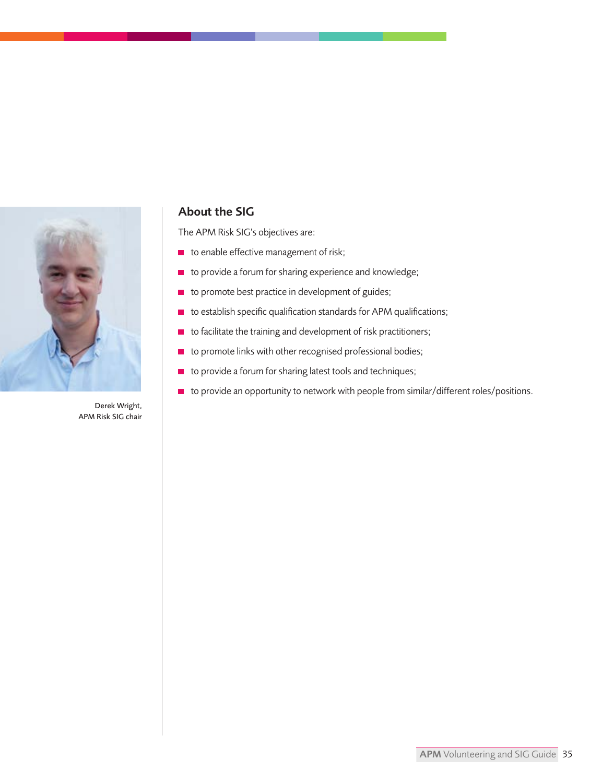

Derek Wright, APM Risk SIG chair

## About the SIG

The APM Risk SIG's objectives are:

- $\blacksquare$  to enable effective management of risk;
- $\blacksquare$  to provide a forum for sharing experience and knowledge;
- $\blacksquare$  to promote best practice in development of guides;
- $\blacksquare$  to establish specific qualification standards for APM qualifications;
- $\blacksquare$  to facilitate the training and development of risk practitioners;
- to promote links with other recognised professional bodies;
- to provide a forum for sharing latest tools and techniques;
- $\blacksquare$  to provide an opportunity to network with people from similar/different roles/positions.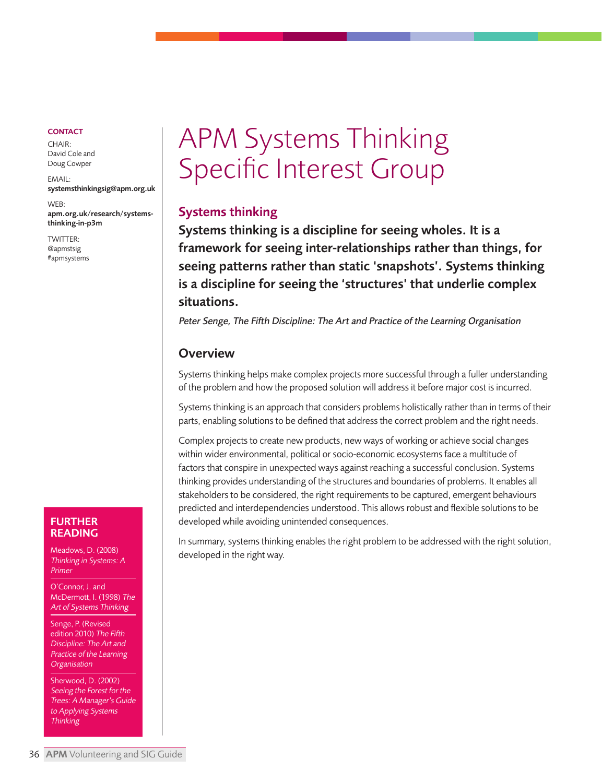<span id="page-35-0"></span> $CHAIR.$ David Cole and Doug Cowper

EMAIL: [systemsthinkingsig@apm.org.uk](mailto: systemsthinkingsig@apm.org.uk)

WEB: [apm.org.uk/research/systems](https://www.apm.org.uk/resources/find-a-resource/systems-thinking-in-portfolio-programme-and-project-management/)thinking-in-p3m

TWITTER: [@apmstsig](https://twitter.com/apmstsig?lang=en) [#apmsystems](https://twitter.com/hashtag/apmsystems)

# APM Systems Thinking Specific Interest Group

# Systems thinking

Systems thinking is a discipline for seeing wholes. It is a framework for seeing inter-relationships rather than things, for seeing patterns rather than static 'snapshots'. Systems thinking is a discipline for seeing the 'structures' that underlie complex situations.

Peter Senge, The Fifth Discipline: The Art and Practice of the Learning Organisation

## **Overview**

Systems thinking helps make complex projects more successful through a fuller understanding of the problem and how the proposed solution will address it before major cost is incurred.

Systems thinking is an approach that considers problems holistically rather than in terms of their parts, enabling solutions to be defined that address the correct problem and the right needs.

Complex projects to create new products, new ways of working or achieve social changes within wider environmental, political or socio-economic ecosystems face a multitude of factors that conspire in unexpected ways against reaching a successful conclusion. Systems thinking provides understanding of the structures and boundaries of problems. It enables all stakeholders to be considered, the right requirements to be captured, emergent behaviours predicted and interdependencies understood. This allows robust and flexible solutions to be developed while avoiding unintended consequences.

In summary, systems thinking enables the right problem to be addressed with the right solution, developed in the right way.

#### FURTHER READING

Meadows, D. (2008) Thinking in Systems: A Primer

O'Connor, J. and McDermott, I. (1998) The Art of Systems Thinking

Senge, P. (Revised edition 2010) The Fifth Discipline: The Art and Practice of the Learning **Organisation** 

Sherwood, D. (2002) Seeing the Forest for the Trees: A Manager's Guide to Applying Systems **Thinking**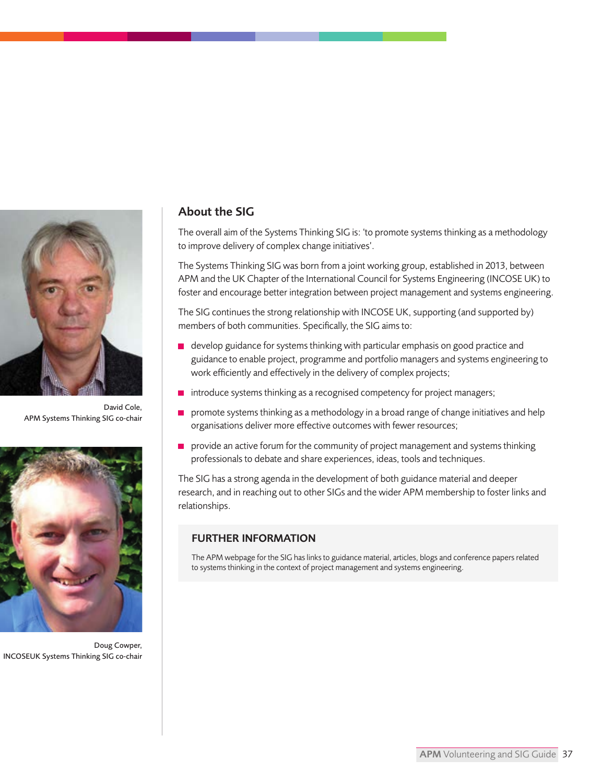

David Cole, APM Systems Thinking SIG co-chair



Doug Cowper, INCOSEUK Systems Thinking SIG co-chair

## About the SIG

The overall aim of the Systems Thinking SIG is: 'to promote systems thinking as a methodology to improve delivery of complex change initiatives'.

The Systems Thinking SIG was born from a joint working group, established in 2013, between APM and the UK Chapter of the International Council for Systems Engineering (INCOSE UK) to foster and encourage better integration between project management and systems engineering.

The SIG continues the strong relationship with INCOSE UK, supporting (and supported by) members of both communities. Specifically, the SIG aims to:

- $\blacksquare$  develop guidance for systems thinking with particular emphasis on good practice and guidance to enable project, programme and portfolio managers and systems engineering to work efficiently and effectively in the delivery of complex projects;
- **n** introduce systems thinking as a recognised competency for project managers;
- $\blacksquare$  promote systems thinking as a methodology in a broad range of change initiatives and help organisations deliver more effective outcomes with fewer resources;
- $\blacksquare$  provide an active forum for the community of project management and systems thinking professionals to debate and share experiences, ideas, tools and techniques.

The SIG has a strong agenda in the development of both guidance material and deeper research, and in reaching out to other SIGs and the wider APM membership to foster links and relationships.

#### FURTHER INFORMATION

The APM webpage for the SIG has links to guidance material, articles, blogs and conference papers related to systems thinking in the context of project management and systems engineering.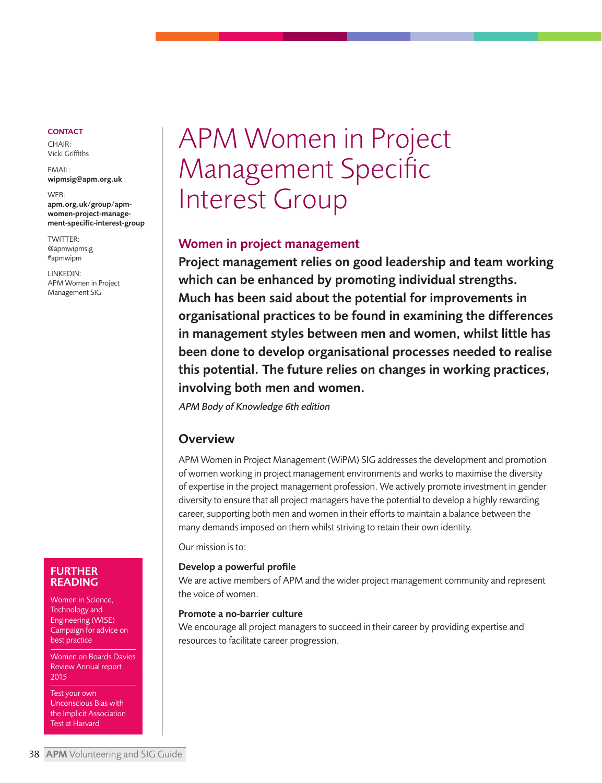<span id="page-37-0"></span>CHAIR: Vicki Griffiths

EMAIL: [wipmsig@apm.org.uk](mailto: wipmsig@apm.org.uk)

WEB: apm.org.uk/group/apmwomen-project-manage[ment-specific-interest-group](https://www.apm.org.uk/community/women-in-project-management-sig/)

TWITTER: [@apmwipmsig](https://twitter.com/apmwipmsig?lang=en) [#apmwipm](https://twitter.com/hashtag/apmwipm)

LINKEDIN: [APM Women in Project](https://www.linkedin.com/groups/2078790/)  Management SIG

# APM Women in Project Management Specific Interest Group

# Women in project management

Project management relies on good leadership and team working which can be enhanced by promoting individual strengths. Much has been said about the potential for improvements in organisational practices to be found in examining the differences in management styles between men and women, whilst little has been done to develop organisational processes needed to realise this potential. The future relies on changes in working practices, involving both men and women.

APM Body of Knowledge 6th edition

# **Overview**

APM Women in Project Management (WiPM) SIG addresses the development and promotion of women working in project management environments and works to maximise the diversity of expertise in the project management profession. We actively promote investment in gender diversity to ensure that all project managers have the potential to develop a highly rewarding career, supporting both men and women in their efforts to maintain a balance between the many demands imposed on them whilst striving to retain their own identity.

Our mission is to:

#### Develop a powerful profile

We are active members of APM and the wider project management community and represent the voice of women.

#### Promote a no-barrier culture

We encourage all project managers to succeed in their career by providing expertise and resources to facilitate career progression.

#### FURTHER READING

Women in Science, Technology and Engineering (WISE) Campaign for advice on best practice

Women on Boards Davies Review Annual report 2015

Test your own Unconscious Bias with the Implicit Association Test at Harvard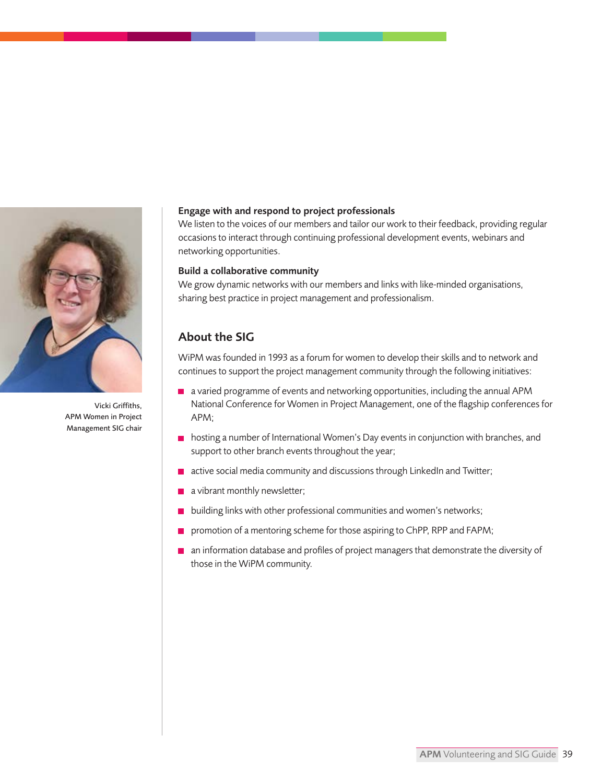

Vicki Griffiths, APM Women in Project Management SIG chair

#### Engage with and respond to project professionals

We listen to the voices of our members and tailor our work to their feedback, providing regular occasions to interact through continuing professional development events, webinars and networking opportunities.

#### Build a collaborative community

We grow dynamic networks with our members and links with like-minded organisations, sharing best practice in project management and professionalism.

## About the SIG

WiPM was founded in 1993 as a forum for women to develop their skills and to network and continues to support the project management community through the following initiatives:

- a varied programme of events and networking opportunities, including the annual APM National Conference for Women in Project Management, one of the flagship conferences for APM;
- hosting a number of International Women's Day events in conjunction with branches, and support to other branch events throughout the year;
- $\blacksquare$  active social media community and discussions through LinkedIn and Twitter:
- a vibrant monthly newsletter;
- **building links with other professional communities and women's networks;**
- **promotion of a mentoring scheme for those aspiring to ChPP, RPP and FAPM;**
- an information database and profiles of project managers that demonstrate the diversity of those in the WiPM community.